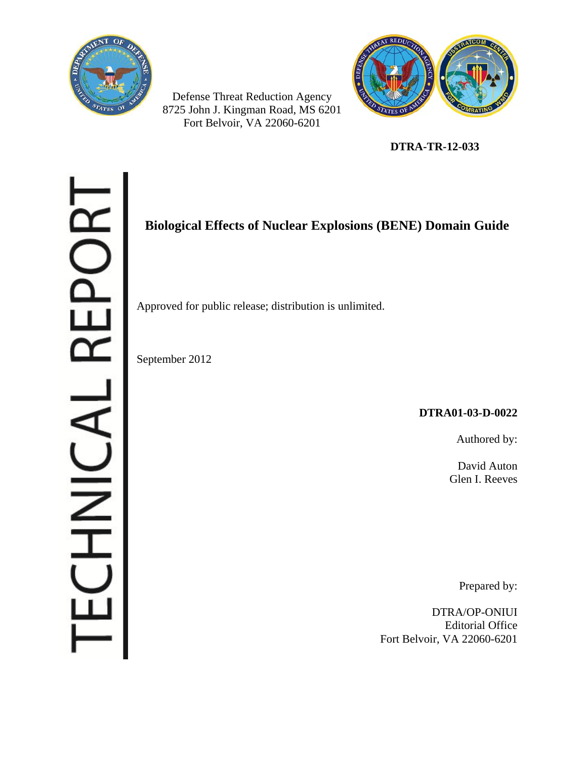

Defense Threat Reduction Agency 8725 John J. Kingman Road, MS 6201 Fort Belvoir, VA 22060-6201



**DTRA-TR-12-033**

# ORT L REPO さこここ

# **Biological Effects of Nuclear Explosions (BENE) Domain Guide**

Approved for public release; distribution is unlimited.

September 2012

## **DTRA01-03-D-0022**

Authored by:

David Auton Glen I. Reeves

Prepared by:

DTRA/OP-ONIUI Editorial Office Fort Belvoir, VA 22060-6201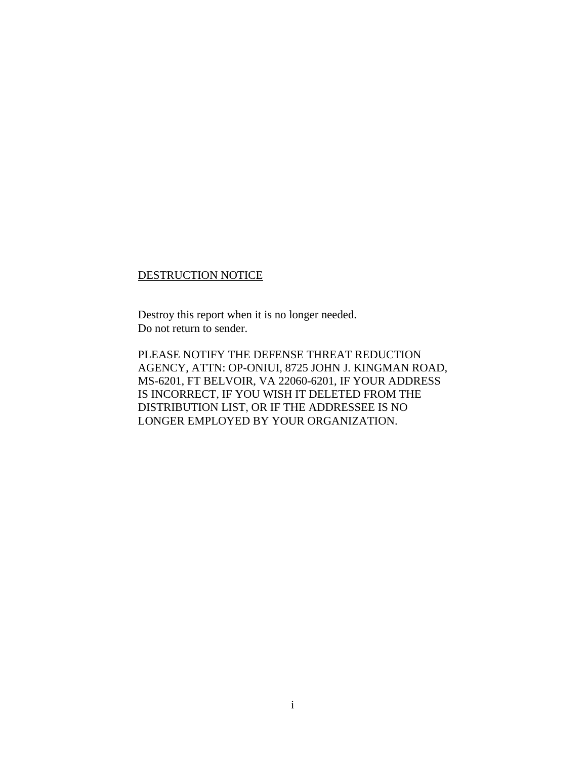#### DESTRUCTION NOTICE

Destroy this report when it is no longer needed. Do not return to sender.

PLEASE NOTIFY THE DEFENSE THREAT REDUCTION AGENCY, ATTN: OP-ONIUI, 8725 JOHN J. KINGMAN ROAD, MS-6201, FT BELVOIR, VA 22060-6201, IF YOUR ADDRESS IS INCORRECT, IF YOU WISH IT DELETED FROM THE DISTRIBUTION LIST, OR IF THE ADDRESSEE IS NO LONGER EMPLOYED BY YOUR ORGANIZATION.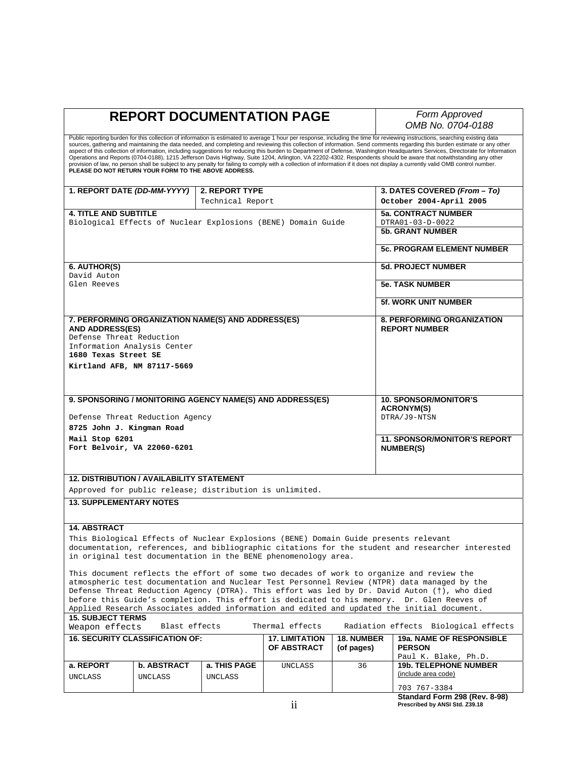**Form Approved** *OMB No. 0704-0188* 

Public reporting burden for this collection of information is estimated to average 1 hour per response, including the time for reviewing instructions, searching existing data<br>sources, gathering and maintaining the data nee

| 1. REPORT DATE (DD-MM-YYYY)                                                                                                                                                              |             | 2. REPORT TYPE   |                                                                                     |                                     | 3. DATES COVERED (From - To)                                                                     |
|------------------------------------------------------------------------------------------------------------------------------------------------------------------------------------------|-------------|------------------|-------------------------------------------------------------------------------------|-------------------------------------|--------------------------------------------------------------------------------------------------|
|                                                                                                                                                                                          |             | Technical Report |                                                                                     |                                     | October 2004-April 2005                                                                          |
| <b>4. TITLE AND SUBTITLE</b>                                                                                                                                                             |             |                  |                                                                                     |                                     | <b>5a. CONTRACT NUMBER</b>                                                                       |
| Biological Effects of Nuclear Explosions (BENE) Domain Guide                                                                                                                             |             |                  |                                                                                     |                                     | DTRA01-03-D-0022                                                                                 |
|                                                                                                                                                                                          |             |                  |                                                                                     |                                     | <b>5b. GRANT NUMBER</b>                                                                          |
|                                                                                                                                                                                          |             |                  |                                                                                     |                                     | <b>5c. PROGRAM ELEMENT NUMBER</b>                                                                |
| 6. AUTHOR(S)                                                                                                                                                                             |             |                  |                                                                                     |                                     | <b>5d. PROJECT NUMBER</b>                                                                        |
| David Auton                                                                                                                                                                              |             |                  |                                                                                     |                                     |                                                                                                  |
| Glen Reeves                                                                                                                                                                              |             |                  |                                                                                     |                                     | <b>5e. TASK NUMBER</b>                                                                           |
|                                                                                                                                                                                          |             |                  |                                                                                     |                                     | <b>5f. WORK UNIT NUMBER</b>                                                                      |
| 7. PERFORMING ORGANIZATION NAME(S) AND ADDRESS(ES)                                                                                                                                       |             |                  |                                                                                     |                                     | <b>8. PERFORMING ORGANIZATION</b>                                                                |
| <b>AND ADDRESS(ES)</b>                                                                                                                                                                   |             |                  |                                                                                     |                                     | <b>REPORT NUMBER</b>                                                                             |
| Defense Threat Reduction                                                                                                                                                                 |             |                  |                                                                                     |                                     |                                                                                                  |
| Information Analysis Center<br>1680 Texas Street SE                                                                                                                                      |             |                  |                                                                                     |                                     |                                                                                                  |
| Kirtland AFB, NM 87117-5669                                                                                                                                                              |             |                  |                                                                                     |                                     |                                                                                                  |
|                                                                                                                                                                                          |             |                  |                                                                                     |                                     |                                                                                                  |
|                                                                                                                                                                                          |             |                  |                                                                                     |                                     |                                                                                                  |
|                                                                                                                                                                                          |             |                  | 9. SPONSORING / MONITORING AGENCY NAME(S) AND ADDRESS(ES)                           |                                     | <b>10. SPONSOR/MONITOR'S</b>                                                                     |
|                                                                                                                                                                                          |             |                  |                                                                                     |                                     | <b>ACRONYM(S)</b>                                                                                |
| Defense Threat Reduction Agency                                                                                                                                                          |             |                  |                                                                                     |                                     | DTRA/J9-NTSN                                                                                     |
| 8725 John J. Kingman Road                                                                                                                                                                |             |                  |                                                                                     |                                     |                                                                                                  |
| Mail Stop 6201                                                                                                                                                                           |             |                  |                                                                                     | <b>11. SPONSOR/MONITOR'S REPORT</b> |                                                                                                  |
| Fort Belvoir, VA 22060-6201                                                                                                                                                              |             |                  |                                                                                     |                                     | <b>NUMBER(S)</b>                                                                                 |
|                                                                                                                                                                                          |             |                  |                                                                                     |                                     |                                                                                                  |
|                                                                                                                                                                                          |             |                  |                                                                                     |                                     |                                                                                                  |
| <b>12. DISTRIBUTION / AVAILABILITY STATEMENT</b>                                                                                                                                         |             |                  |                                                                                     |                                     |                                                                                                  |
| Approved for public release; distribution is unlimited.                                                                                                                                  |             |                  |                                                                                     |                                     |                                                                                                  |
| <b>13. SUPPLEMENTARY NOTES</b>                                                                                                                                                           |             |                  |                                                                                     |                                     |                                                                                                  |
|                                                                                                                                                                                          |             |                  |                                                                                     |                                     |                                                                                                  |
| <b>14. ABSTRACT</b>                                                                                                                                                                      |             |                  |                                                                                     |                                     |                                                                                                  |
|                                                                                                                                                                                          |             |                  | This Biological Effects of Nuclear Explosions (BENE) Domain Guide presents relevant |                                     |                                                                                                  |
|                                                                                                                                                                                          |             |                  |                                                                                     |                                     | documentation, references, and bibliographic citations for the student and researcher interested |
| in original test documentation in the BENE phenomenology area.                                                                                                                           |             |                  |                                                                                     |                                     |                                                                                                  |
|                                                                                                                                                                                          |             |                  |                                                                                     |                                     | This document reflects the effort of some two decades of work to organize and review the         |
|                                                                                                                                                                                          |             |                  |                                                                                     |                                     | atmospheric test documentation and Nuclear Test Personnel Review (NTPR) data managed by the      |
| Defense Threat Reduction Agency (DTRA). This effort was led by Dr. David Auton (†), who died                                                                                             |             |                  |                                                                                     |                                     |                                                                                                  |
| before this Guide's completion. This effort is dedicated to his memory. Dr. Glen Reeves of<br>Applied Research Associates added information and edited and updated the initial document. |             |                  |                                                                                     |                                     |                                                                                                  |
| <b>15. SUBJECT TERMS</b>                                                                                                                                                                 |             |                  |                                                                                     |                                     |                                                                                                  |
| Radiation effects Biological effects<br>Weapon effects<br>Blast effects<br>Thermal effects                                                                                               |             |                  |                                                                                     |                                     |                                                                                                  |
| <b>16. SECURITY CLASSIFICATION OF:</b>                                                                                                                                                   |             |                  | <b>17. LIMITATION</b>                                                               | <b>18. NUMBER</b>                   | 19a. NAME OF RESPONSIBLE                                                                         |
|                                                                                                                                                                                          |             |                  | OF ABSTRACT                                                                         | (of pages)                          | <b>PERSON</b>                                                                                    |
| a. REPORT                                                                                                                                                                                | b. ABSTRACT | a. THIS PAGE     | UNCLASS                                                                             | 36                                  | Paul K. Blake, Ph.D.<br><b>19b. TELEPHONE NUMBER</b>                                             |
| UNCLASS                                                                                                                                                                                  | UNCLASS     | UNCLASS          |                                                                                     |                                     | (include area code)                                                                              |
|                                                                                                                                                                                          |             |                  |                                                                                     |                                     |                                                                                                  |
|                                                                                                                                                                                          |             |                  |                                                                                     |                                     | 703 767-3384                                                                                     |

**Standard Form 298 (Rev. 8-98) Prescribed by ANSI Std. Z39.18**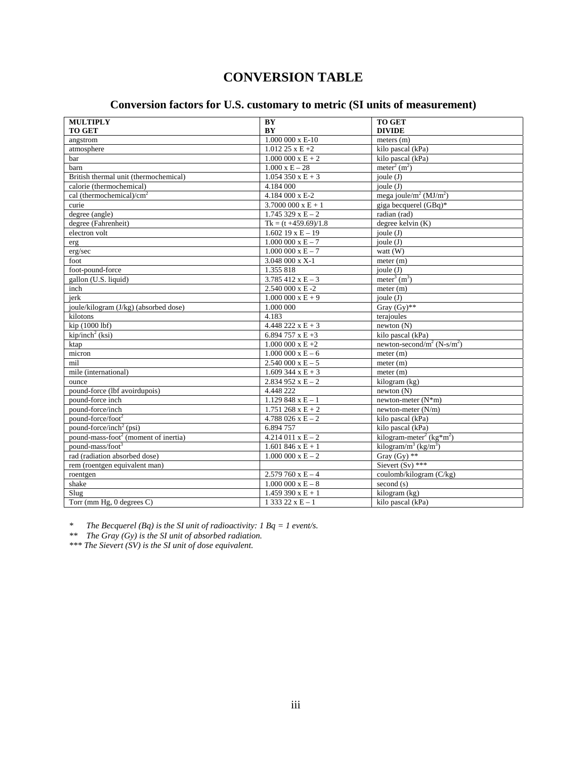# **CONVERSION TABLE**

#### **Conversion factors for U.S. customary to metric (SI units of measurement)**

| <b>MULTIPLY</b>                                  | BY                       | <b>TO GET</b>                                    |
|--------------------------------------------------|--------------------------|--------------------------------------------------|
| <b>TO GET</b>                                    | BY                       | <b>DIVIDE</b>                                    |
| angstrom                                         |                          | meters $(m)$                                     |
| atmosphere                                       | $1.01225 \times E + 2$   | kilo pascal (kPa)                                |
| bar                                              | $1.000000 \times E + 2$  | kilo pascal (kPa)                                |
| barn                                             | $1.000 \times E - 28$    | meter <sup>2</sup> $(m2)$                        |
| British thermal unit (thermochemical)            | $1.054350 \times E + 3$  | joule $(J)$                                      |
| calorie (thermochemical)                         | 4.184 000                | ioule $(J)$                                      |
| cal (thermochemical)/ $\text{cm}^2$              | 4.184 000 x E-2          | mega joule/m <sup>2</sup> (MJ/m <sup>2</sup> )   |
| curie                                            | $3.7000000 \times E + 1$ | giga becquerel (GBq)*                            |
| degree (angle)                                   | $1.745329 \times E - 2$  | radian (rad)                                     |
| degree (Fahrenheit)                              | $Tk = (t +459.69)/1.8$   | degree kelvin $(K)$                              |
| electron volt                                    | $1.60219 \times E - 19$  | joule $(J)$                                      |
| erg                                              | $1.000000 \times E - 7$  | joule $(J)$                                      |
| erg/sec                                          | $1.000000 \times E - 7$  | watt $(W)$                                       |
| foot                                             | 3.048 000 x X-1          | meter (m)                                        |
| foot-pound-force                                 | 1.355 818                | joule $(J)$                                      |
| gallon (U.S. liquid)                             | $3.785412 \times E - 3$  | $\overline{\text{meter}^3 \text{ (m}^3)}$        |
| inch                                             | 2.540 000 x E-2          | meter (m)                                        |
| jerk                                             | $1.000000 \times E + 9$  | joule $(J)$                                      |
| joule/kilogram (J/kg) (absorbed dose)            | 1.000 000                | Gray $\overline{(Gy)^{**}}$                      |
| kilotons                                         | 4.183                    | terajoules                                       |
| kip (1000 lbf)                                   | $4.448222 \times E + 3$  | newton(N)                                        |
| $kip/inch2$ (ksi)                                | 6.894 757 x E +3         | $\overline{kilo}$ pascal (kPa)                   |
| ktap                                             | $1.000000x E+2$          | newton-second/ $m^2$ (N-s/ $m^2$ )               |
| micron                                           | $1.000000 \times E - 6$  | meter (m)                                        |
| mil                                              | $2.540000 \times E - 5$  | meter (m)                                        |
| mile (international)                             | $1.609344 \times E + 3$  | meter (m)                                        |
| ounce                                            | $2.834952 \times E - 2$  | kilogram (kg)                                    |
| pound-force (lbf avoirdupois)                    | 4.448 222                | newton(N)                                        |
| pound-force inch                                 | $1.129848 \times E - 1$  | newton-meter $(N*m)$                             |
| pound-force/inch                                 | 1.751 268 $x E + 2$      | newton-meter (N/m)                               |
| pound-force/foot <sup>2</sup>                    | 4.788 026 x E $-$ 2      | kilo pascal (kPa)                                |
| pound-force/inch <sup>2</sup> (psi)              | 6.894 757                | kilo pascal (kPa)                                |
| pound-mass-foot <sup>2</sup> (moment of inertia) | $4.214011 \times E - 2$  | kilogram-meter <sup>2</sup> (kg*m <sup>2</sup> ) |
| pound-mass/foot <sup>3</sup>                     | $1.601846 \times E + 1$  | kilogram/m <sup>3</sup> (kg/m <sup>3</sup> )     |
| rad (radiation absorbed dose)                    | $1.000000 \times E - 2$  | Gray (Gy) **                                     |
| rem (roentgen equivalent man)                    |                          | Sievert $(Sv)$ ***                               |
| roentgen                                         | $2.579760 \times E - 4$  | coulomb/kilogram (C/kg)                          |
| shake                                            | $1.000000 \times E - 8$  | second (s)                                       |
| Slug                                             | $1.459390 \times E + 1$  | kilogram (kg)                                    |
| Torr (mm $Hg$ , 0 degrees $C$ )                  | $133322 \times E - 1$    | kilo pascal (kPa)                                |

*\* The Becquerel (Bq) is the SI unit of radioactivity: 1 Bq = 1 event/s.* 

*\*\* The Gray (Gy) is the SI unit of absorbed radiation.* 

*\*\*\* The Sievert (SV) is the SI unit of dose equivalent.*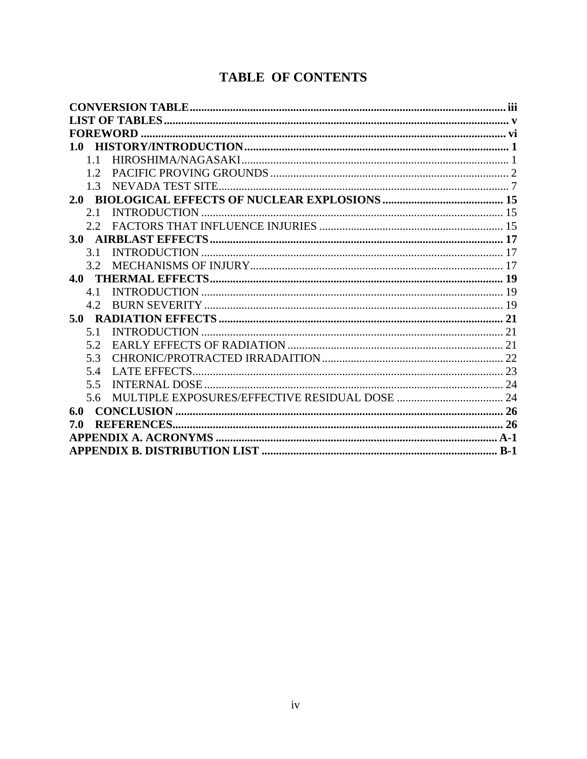# **TABLE OF CONTENTS**

| 1.0              |  |
|------------------|--|
| 1.1              |  |
| 12               |  |
| 1 <sup>3</sup>   |  |
|                  |  |
| 2.1              |  |
| 22               |  |
| 3.0              |  |
| 3.1              |  |
| 3.2 <sub>1</sub> |  |
| 4.0              |  |
| 4.1              |  |
| 42               |  |
|                  |  |
| 5.1              |  |
| 52               |  |
| 5.3              |  |
| 5.4              |  |
| 5.5              |  |
| 5.6              |  |
| 6.0              |  |
| 7.0              |  |
|                  |  |
|                  |  |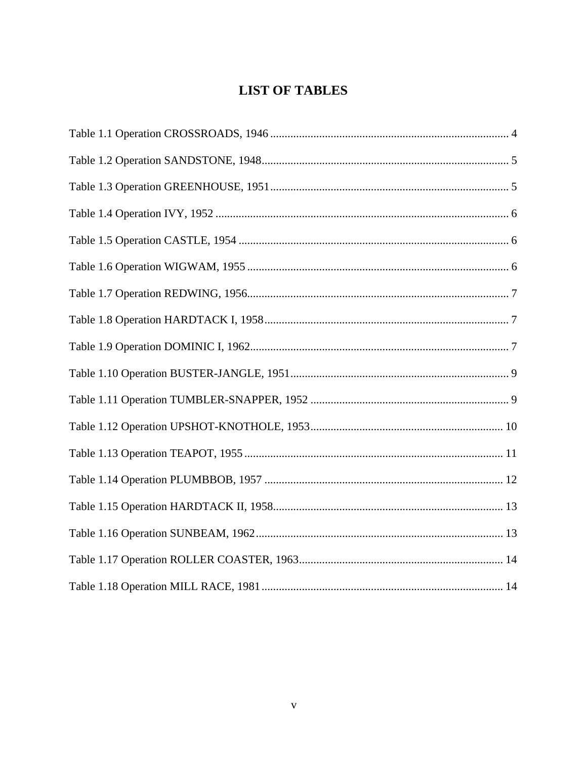# **LIST OF TABLES**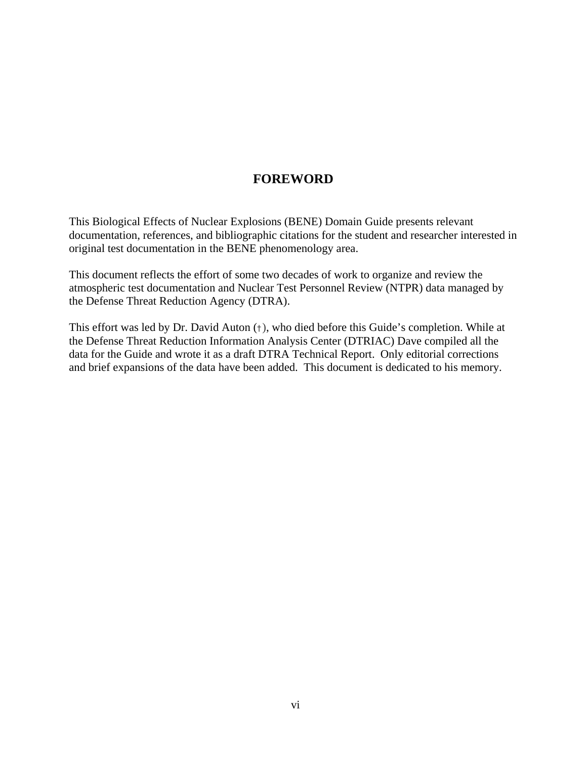# **FOREWORD**

This Biological Effects of Nuclear Explosions (BENE) Domain Guide presents relevant documentation, references, and bibliographic citations for the student and researcher interested in original test documentation in the BENE phenomenology area.

This document reflects the effort of some two decades of work to organize and review the atmospheric test documentation and Nuclear Test Personnel Review (NTPR) data managed by the Defense Threat Reduction Agency (DTRA).

This effort was led by Dr. David Auton (†), who died before this Guide's completion. While at the Defense Threat Reduction Information Analysis Center (DTRIAC) Dave compiled all the data for the Guide and wrote it as a draft DTRA Technical Report. Only editorial corrections and brief expansions of the data have been added. This document is dedicated to his memory.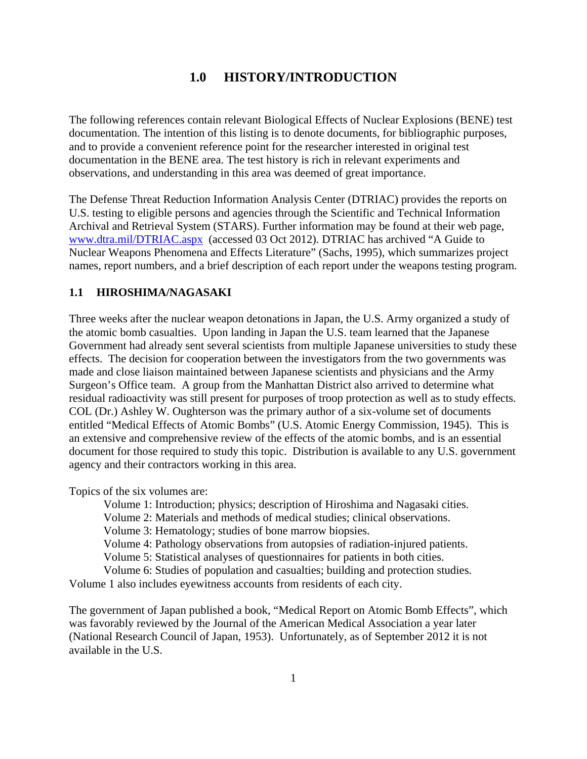## **1.0 HISTORY/INTRODUCTION**

The following references contain relevant Biological Effects of Nuclear Explosions (BENE) test documentation. The intention of this listing is to denote documents, for bibliographic purposes, and to provide a convenient reference point for the researcher interested in original test documentation in the BENE area. The test history is rich in relevant experiments and observations, and understanding in this area was deemed of great importance.

The Defense Threat Reduction Information Analysis Center (DTRIAC) provides the reports on U.S. testing to eligible persons and agencies through the Scientific and Technical Information Archival and Retrieval System (STARS). Further information may be found at their web page, www.dtra.mil/DTRIAC.aspx (accessed 03 Oct 2012). DTRIAC has archived "A Guide to Nuclear Weapons Phenomena and Effects Literature" (Sachs, 1995), which summarizes project names, report numbers, and a brief description of each report under the weapons testing program.

#### **1.1 HIROSHIMA/NAGASAKI**

Three weeks after the nuclear weapon detonations in Japan, the U.S. Army organized a study of the atomic bomb casualties. Upon landing in Japan the U.S. team learned that the Japanese Government had already sent several scientists from multiple Japanese universities to study these effects. The decision for cooperation between the investigators from the two governments was made and close liaison maintained between Japanese scientists and physicians and the Army Surgeon's Office team. A group from the Manhattan District also arrived to determine what residual radioactivity was still present for purposes of troop protection as well as to study effects. COL (Dr.) Ashley W. Oughterson was the primary author of a six-volume set of documents entitled "Medical Effects of Atomic Bombs" (U.S. Atomic Energy Commission, 1945). This is an extensive and comprehensive review of the effects of the atomic bombs, and is an essential document for those required to study this topic. Distribution is available to any U.S. government agency and their contractors working in this area.

Topics of the six volumes are:

Volume 1: Introduction; physics; description of Hiroshima and Nagasaki cities.

Volume 2: Materials and methods of medical studies; clinical observations.

Volume 3: Hematology; studies of bone marrow biopsies.

Volume 4: Pathology observations from autopsies of radiation-injured patients.

Volume 5: Statistical analyses of questionnaires for patients in both cities.

 Volume 6: Studies of population and casualties; building and protection studies. Volume 1 also includes eyewitness accounts from residents of each city.

The government of Japan published a book, "Medical Report on Atomic Bomb Effects", which was favorably reviewed by the Journal of the American Medical Association a year later (National Research Council of Japan, 1953). Unfortunately, as of September 2012 it is not available in the U.S.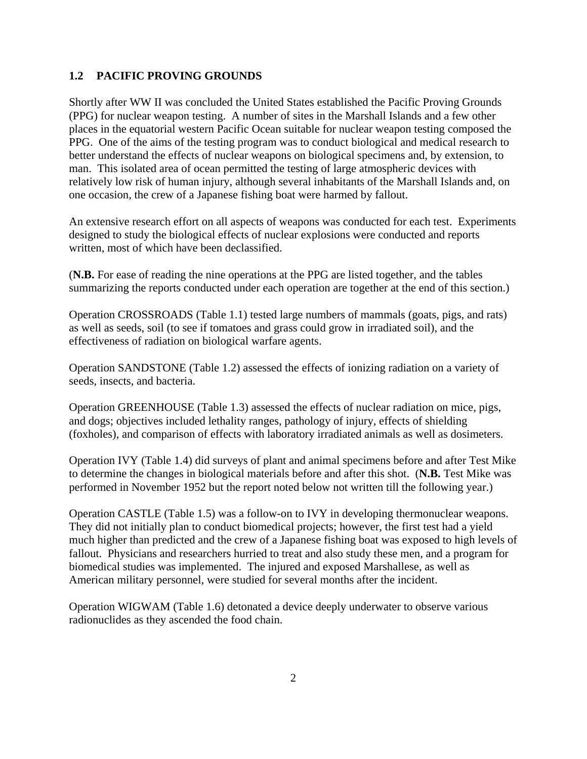#### **1.2 PACIFIC PROVING GROUNDS**

Shortly after WW II was concluded the United States established the Pacific Proving Grounds (PPG) for nuclear weapon testing. A number of sites in the Marshall Islands and a few other places in the equatorial western Pacific Ocean suitable for nuclear weapon testing composed the PPG. One of the aims of the testing program was to conduct biological and medical research to better understand the effects of nuclear weapons on biological specimens and, by extension, to man. This isolated area of ocean permitted the testing of large atmospheric devices with relatively low risk of human injury, although several inhabitants of the Marshall Islands and, on one occasion, the crew of a Japanese fishing boat were harmed by fallout.

An extensive research effort on all aspects of weapons was conducted for each test. Experiments designed to study the biological effects of nuclear explosions were conducted and reports written, most of which have been declassified.

(**N.B.** For ease of reading the nine operations at the PPG are listed together, and the tables summarizing the reports conducted under each operation are together at the end of this section.)

Operation CROSSROADS (Table 1.1) tested large numbers of mammals (goats, pigs, and rats) as well as seeds, soil (to see if tomatoes and grass could grow in irradiated soil), and the effectiveness of radiation on biological warfare agents.

Operation SANDSTONE (Table 1.2) assessed the effects of ionizing radiation on a variety of seeds, insects, and bacteria.

Operation GREENHOUSE (Table 1.3) assessed the effects of nuclear radiation on mice, pigs, and dogs; objectives included lethality ranges, pathology of injury, effects of shielding (foxholes), and comparison of effects with laboratory irradiated animals as well as dosimeters.

Operation IVY (Table 1.4) did surveys of plant and animal specimens before and after Test Mike to determine the changes in biological materials before and after this shot. (**N.B.** Test Mike was performed in November 1952 but the report noted below not written till the following year.)

Operation CASTLE (Table 1.5) was a follow-on to IVY in developing thermonuclear weapons. They did not initially plan to conduct biomedical projects; however, the first test had a yield much higher than predicted and the crew of a Japanese fishing boat was exposed to high levels of fallout. Physicians and researchers hurried to treat and also study these men, and a program for biomedical studies was implemented. The injured and exposed Marshallese, as well as American military personnel, were studied for several months after the incident.

Operation WIGWAM (Table 1.6) detonated a device deeply underwater to observe various radionuclides as they ascended the food chain.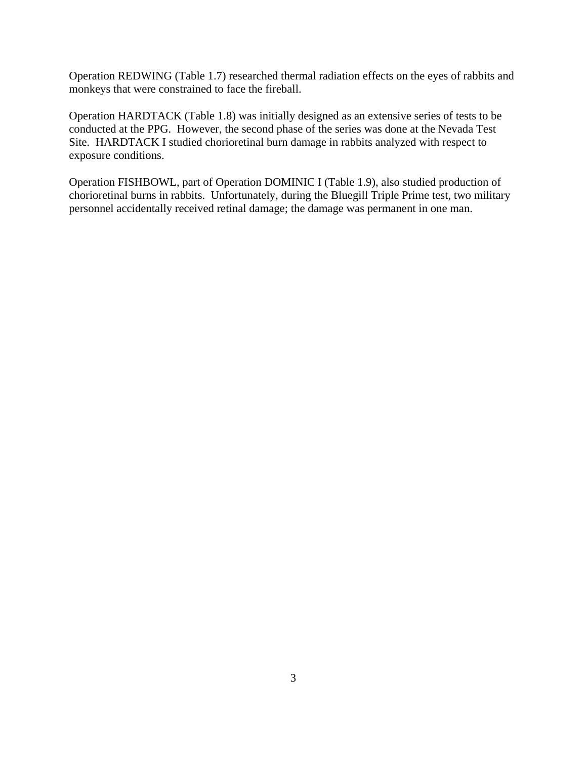Operation REDWING (Table 1.7) researched thermal radiation effects on the eyes of rabbits and monkeys that were constrained to face the fireball.

Operation HARDTACK (Table 1.8) was initially designed as an extensive series of tests to be conducted at the PPG. However, the second phase of the series was done at the Nevada Test Site. HARDTACK I studied chorioretinal burn damage in rabbits analyzed with respect to exposure conditions.

Operation FISHBOWL, part of Operation DOMINIC I (Table 1.9), also studied production of chorioretinal burns in rabbits. Unfortunately, during the Bluegill Triple Prime test, two military personnel accidentally received retinal damage; the damage was permanent in one man.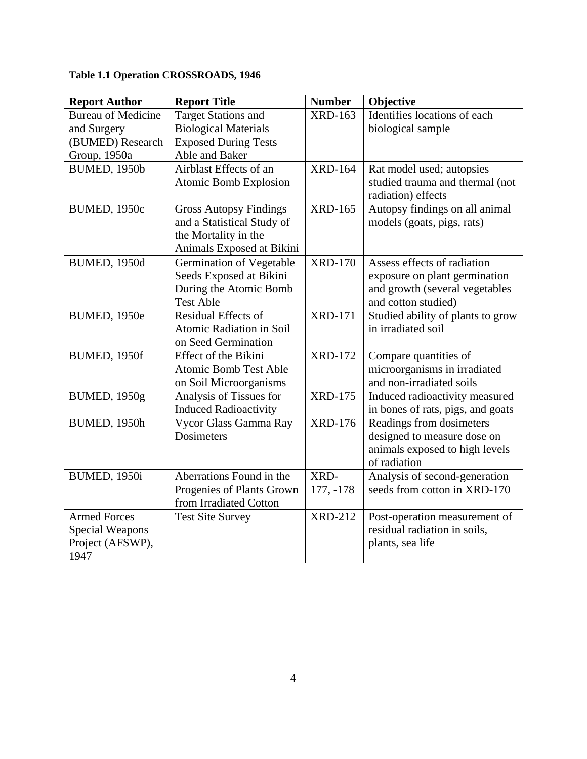# **Table 1.1 Operation CROSSROADS, 1946**

| <b>Report Author</b>      | <b>Report Title</b>           | <b>Number</b>        | Objective                         |
|---------------------------|-------------------------------|----------------------|-----------------------------------|
| <b>Bureau of Medicine</b> | <b>Target Stations and</b>    | <b>XRD-163</b>       | Identifies locations of each      |
| and Surgery               | <b>Biological Materials</b>   |                      | biological sample                 |
| (BUMED) Research          | <b>Exposed During Tests</b>   |                      |                                   |
| Group, 1950a              | Able and Baker                |                      |                                   |
| <b>BUMED, 1950b</b>       | Airblast Effects of an        | <b>XRD-164</b>       | Rat model used; autopsies         |
|                           | <b>Atomic Bomb Explosion</b>  |                      | studied trauma and thermal (not   |
|                           |                               |                      | radiation) effects                |
| <b>BUMED, 1950c</b>       | <b>Gross Autopsy Findings</b> | $\overline{XRD-165}$ | Autopsy findings on all animal    |
|                           | and a Statistical Study of    |                      | models (goats, pigs, rats)        |
|                           | the Mortality in the          |                      |                                   |
|                           | Animals Exposed at Bikini     |                      |                                   |
| <b>BUMED, 1950d</b>       | Germination of Vegetable      | <b>XRD-170</b>       | Assess effects of radiation       |
|                           | Seeds Exposed at Bikini       |                      | exposure on plant germination     |
|                           | During the Atomic Bomb        |                      | and growth (several vegetables    |
|                           | <b>Test Able</b>              |                      | and cotton studied)               |
| <b>BUMED, 1950e</b>       | <b>Residual Effects of</b>    | <b>XRD-171</b>       | Studied ability of plants to grow |
|                           | Atomic Radiation in Soil      |                      | in irradiated soil                |
|                           | on Seed Germination           |                      |                                   |
| <b>BUMED, 1950f</b>       | Effect of the Bikini          | <b>XRD-172</b>       | Compare quantities of             |
|                           | <b>Atomic Bomb Test Able</b>  |                      | microorganisms in irradiated      |
|                           | on Soil Microorganisms        |                      | and non-irradiated soils          |
| <b>BUMED, 1950g</b>       | Analysis of Tissues for       | <b>XRD-175</b>       | Induced radioactivity measured    |
|                           | <b>Induced Radioactivity</b>  |                      | in bones of rats, pigs, and goats |
| <b>BUMED, 1950h</b>       | Vycor Glass Gamma Ray         | <b>XRD-176</b>       | Readings from dosimeters          |
|                           | <b>Dosimeters</b>             |                      | designed to measure dose on       |
|                           |                               |                      | animals exposed to high levels    |
|                           |                               |                      | of radiation                      |
| <b>BUMED, 1950i</b>       | Aberrations Found in the      | XRD-                 | Analysis of second-generation     |
|                           | Progenies of Plants Grown     | $177, -178$          | seeds from cotton in XRD-170      |
|                           | from Irradiated Cotton        |                      |                                   |
| <b>Armed Forces</b>       | <b>Test Site Survey</b>       | <b>XRD-212</b>       | Post-operation measurement of     |
| <b>Special Weapons</b>    |                               |                      | residual radiation in soils,      |
| Project (AFSWP),          |                               |                      | plants, sea life                  |
| 1947                      |                               |                      |                                   |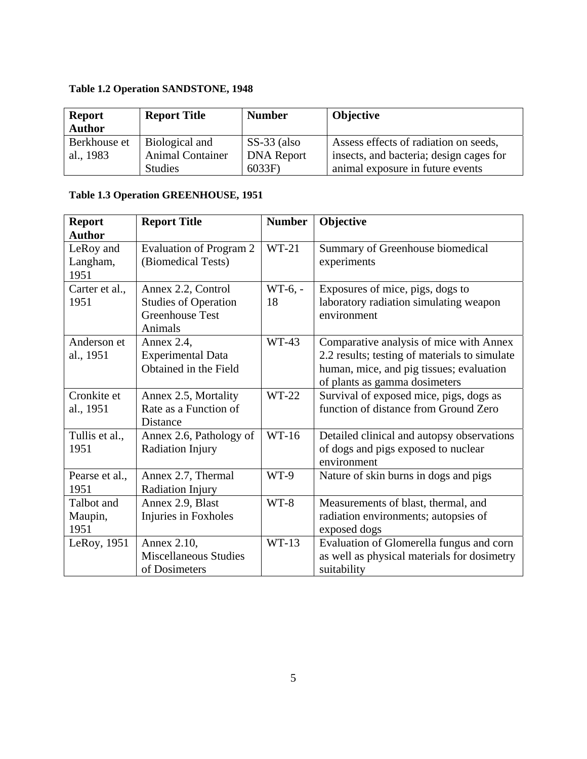# **Table 1.2 Operation SANDSTONE, 1948**

| <b>Report</b> | <b>Report Title</b>     | <b>Number</b>     | <b>Objective</b>                        |
|---------------|-------------------------|-------------------|-----------------------------------------|
| <b>Author</b> |                         |                   |                                         |
| Berkhouse et  | Biological and          | $SS-33$ (also     | Assess effects of radiation on seeds,   |
| al., 1983     | <b>Animal Container</b> | <b>DNA</b> Report | insects, and bacteria; design cages for |
|               | <b>Studies</b>          | 6033F             | animal exposure in future events        |

# **Table 1.3 Operation GREENHOUSE, 1951**

| <b>Report</b>                 | <b>Report Title</b>                                                                    | <b>Number</b>   | Objective                                                                                                                                                             |
|-------------------------------|----------------------------------------------------------------------------------------|-----------------|-----------------------------------------------------------------------------------------------------------------------------------------------------------------------|
| <b>Author</b>                 |                                                                                        |                 |                                                                                                                                                                       |
| LeRoy and<br>Langham,<br>1951 | Evaluation of Program 2<br>(Biomedical Tests)                                          | $WT-21$         | Summary of Greenhouse biomedical<br>experiments                                                                                                                       |
| Carter et al.,<br>1951        | Annex 2.2, Control<br><b>Studies of Operation</b><br><b>Greenhouse Test</b><br>Animals | $WT-6, -$<br>18 | Exposures of mice, pigs, dogs to<br>laboratory radiation simulating weapon<br>environment                                                                             |
| Anderson et<br>al., 1951      | Annex 2.4,<br><b>Experimental Data</b><br>Obtained in the Field                        | WT-43           | Comparative analysis of mice with Annex<br>2.2 results; testing of materials to simulate<br>human, mice, and pig tissues; evaluation<br>of plants as gamma dosimeters |
| Cronkite et<br>al., 1951      | Annex 2.5, Mortality<br>Rate as a Function of<br>Distance                              | WT-22           | Survival of exposed mice, pigs, dogs as<br>function of distance from Ground Zero                                                                                      |
| Tullis et al.,<br>1951        | Annex 2.6, Pathology of<br>Radiation Injury                                            | $WT-16$         | Detailed clinical and autopsy observations<br>of dogs and pigs exposed to nuclear<br>environment                                                                      |
| Pearse et al.,<br>1951        | Annex 2.7, Thermal<br>Radiation Injury                                                 | WT-9            | Nature of skin burns in dogs and pigs                                                                                                                                 |
| Talbot and<br>Maupin,<br>1951 | Annex 2.9, Blast<br>Injuries in Foxholes                                               | $WT-8$          | Measurements of blast, thermal, and<br>radiation environments; autopsies of<br>exposed dogs                                                                           |
| LeRoy, 1951                   | Annex 2.10,<br><b>Miscellaneous Studies</b><br>of Dosimeters                           | $WT-13$         | Evaluation of Glomerella fungus and corn<br>as well as physical materials for dosimetry<br>suitability                                                                |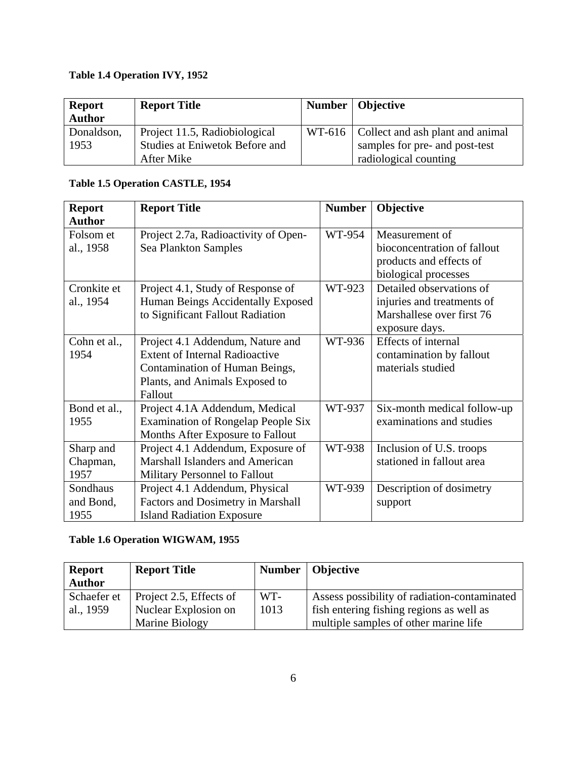# **Table 1.4 Operation IVY, 1952**

| <b>Report</b><br><b>Author</b> | <b>Report Title</b>            | Number   Objective                        |
|--------------------------------|--------------------------------|-------------------------------------------|
| Donaldson,                     | Project 11.5, Radiobiological  | WT-616   Collect and ash plant and animal |
| 1953                           | Studies at Eniwetok Before and | samples for pre- and post-test            |
|                                | After Mike                     | radiological counting                     |

## **Table 1.5 Operation CASTLE, 1954**

| <b>Report</b> | <b>Report Title</b>                       | <b>Number</b> | Objective                   |  |
|---------------|-------------------------------------------|---------------|-----------------------------|--|
| <b>Author</b> |                                           |               |                             |  |
| Folsom et     | Project 2.7a, Radioactivity of Open-      | WT-954        | Measurement of              |  |
| al., 1958     | Sea Plankton Samples                      |               | bioconcentration of fallout |  |
|               |                                           |               | products and effects of     |  |
|               |                                           |               | biological processes        |  |
| Cronkite et   | Project 4.1, Study of Response of         | WT-923        | Detailed observations of    |  |
| al., 1954     | Human Beings Accidentally Exposed         |               | injuries and treatments of  |  |
|               | to Significant Fallout Radiation          |               | Marshallese over first 76   |  |
|               |                                           |               | exposure days.              |  |
| Cohn et al.,  | Project 4.1 Addendum, Nature and          | WT-936        | Effects of internal         |  |
| 1954          | <b>Extent of Internal Radioactive</b>     |               | contamination by fallout    |  |
|               | Contamination of Human Beings,            |               | materials studied           |  |
|               | Plants, and Animals Exposed to            |               |                             |  |
|               | Fallout                                   |               |                             |  |
| Bond et al.,  | Project 4.1A Addendum, Medical            | WT-937        | Six-month medical follow-up |  |
| 1955          | <b>Examination of Rongelap People Six</b> |               | examinations and studies    |  |
|               | Months After Exposure to Fallout          |               |                             |  |
| Sharp and     | Project 4.1 Addendum, Exposure of         | WT-938        | Inclusion of U.S. troops    |  |
| Chapman,      | <b>Marshall Islanders and American</b>    |               | stationed in fallout area   |  |
| 1957          | Military Personnel to Fallout             |               |                             |  |
| Sondhaus      | Project 4.1 Addendum, Physical            | WT-939        | Description of dosimetry    |  |
| and Bond,     | Factors and Dosimetry in Marshall         |               | support                     |  |
| 1955          | <b>Island Radiation Exposure</b>          |               |                             |  |

# **Table 1.6 Operation WIGWAM, 1955**

| <b>Report</b> | <b>Report Title</b>     |      | Number   Objective                           |
|---------------|-------------------------|------|----------------------------------------------|
| <b>Author</b> |                         |      |                                              |
| Schaefer et   | Project 2.5, Effects of | WT-  | Assess possibility of radiation-contaminated |
| al., 1959     | Nuclear Explosion on    | 1013 | fish entering fishing regions as well as     |
|               | Marine Biology          |      | multiple samples of other marine life        |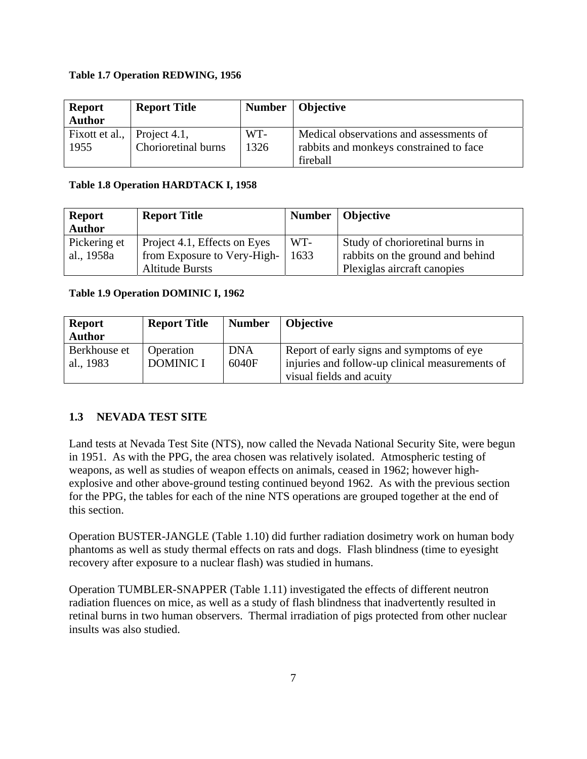#### **Table 1.7 Operation REDWING, 1956**

| <b>Report</b>  | <b>Report Title</b> |      | Number   Objective                      |
|----------------|---------------------|------|-----------------------------------------|
| <b>Author</b>  |                     |      |                                         |
| Fixott et al., | Project 4.1,        | WT-  | Medical observations and assessments of |
| 1955           | Chorioretinal burns | 1326 | rabbits and monkeys constrained to face |
|                |                     |      | fireball                                |

#### **Table 1.8 Operation HARDTACK I, 1958**

| <b>Report</b> | <b>Report Title</b>          |      | Number   Objective               |
|---------------|------------------------------|------|----------------------------------|
| <b>Author</b> |                              |      |                                  |
| Pickering et  | Project 4.1, Effects on Eyes | WT-  | Study of chorioretinal burns in  |
| al., 1958a    | from Exposure to Very-High-  | 1633 | rabbits on the ground and behind |
|               | <b>Altitude Bursts</b>       |      | Plexiglas aircraft canopies      |

#### **Table 1.9 Operation DOMINIC I, 1962**

| <b>Report</b><br><b>Author</b> | <b>Report Title</b>           | <b>Number</b>       | <b>Objective</b>                                                                             |
|--------------------------------|-------------------------------|---------------------|----------------------------------------------------------------------------------------------|
| Berkhouse et<br>al., 1983      | Operation<br><b>DOMINIC I</b> | <b>DNA</b><br>6040F | Report of early signs and symptoms of eye<br>injuries and follow-up clinical measurements of |
|                                |                               |                     | visual fields and acuity                                                                     |

## **1.3 NEVADA TEST SITE**

Land tests at Nevada Test Site (NTS), now called the Nevada National Security Site, were begun in 1951. As with the PPG, the area chosen was relatively isolated. Atmospheric testing of weapons, as well as studies of weapon effects on animals, ceased in 1962; however highexplosive and other above-ground testing continued beyond 1962. As with the previous section for the PPG, the tables for each of the nine NTS operations are grouped together at the end of this section.

Operation BUSTER-JANGLE (Table 1.10) did further radiation dosimetry work on human body phantoms as well as study thermal effects on rats and dogs. Flash blindness (time to eyesight recovery after exposure to a nuclear flash) was studied in humans.

Operation TUMBLER-SNAPPER (Table 1.11) investigated the effects of different neutron radiation fluences on mice, as well as a study of flash blindness that inadvertently resulted in retinal burns in two human observers. Thermal irradiation of pigs protected from other nuclear insults was also studied.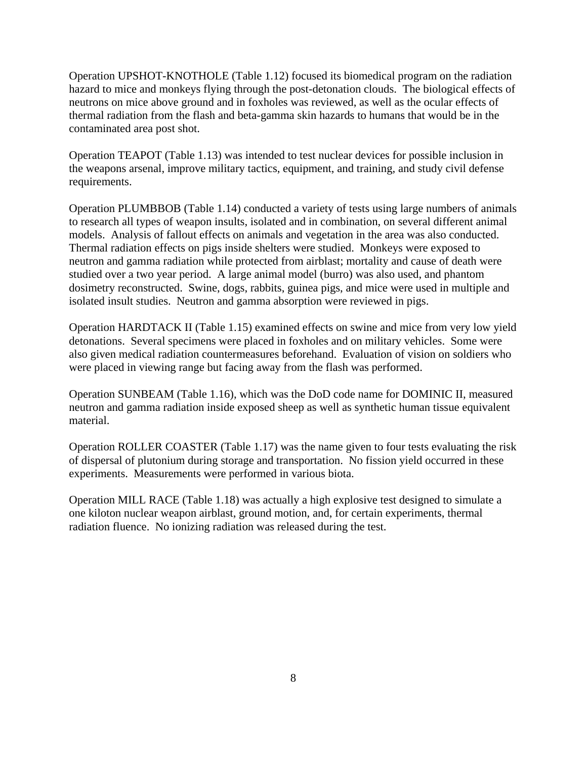Operation UPSHOT-KNOTHOLE (Table 1.12) focused its biomedical program on the radiation hazard to mice and monkeys flying through the post-detonation clouds. The biological effects of neutrons on mice above ground and in foxholes was reviewed, as well as the ocular effects of thermal radiation from the flash and beta-gamma skin hazards to humans that would be in the contaminated area post shot.

Operation TEAPOT (Table 1.13) was intended to test nuclear devices for possible inclusion in the weapons arsenal, improve military tactics, equipment, and training, and study civil defense requirements.

Operation PLUMBBOB (Table 1.14) conducted a variety of tests using large numbers of animals to research all types of weapon insults, isolated and in combination, on several different animal models. Analysis of fallout effects on animals and vegetation in the area was also conducted. Thermal radiation effects on pigs inside shelters were studied. Monkeys were exposed to neutron and gamma radiation while protected from airblast; mortality and cause of death were studied over a two year period. A large animal model (burro) was also used, and phantom dosimetry reconstructed. Swine, dogs, rabbits, guinea pigs, and mice were used in multiple and isolated insult studies. Neutron and gamma absorption were reviewed in pigs.

Operation HARDTACK II (Table 1.15) examined effects on swine and mice from very low yield detonations. Several specimens were placed in foxholes and on military vehicles. Some were also given medical radiation countermeasures beforehand. Evaluation of vision on soldiers who were placed in viewing range but facing away from the flash was performed.

Operation SUNBEAM (Table 1.16), which was the DoD code name for DOMINIC II, measured neutron and gamma radiation inside exposed sheep as well as synthetic human tissue equivalent material.

Operation ROLLER COASTER (Table 1.17) was the name given to four tests evaluating the risk of dispersal of plutonium during storage and transportation. No fission yield occurred in these experiments. Measurements were performed in various biota.

Operation MILL RACE (Table 1.18) was actually a high explosive test designed to simulate a one kiloton nuclear weapon airblast, ground motion, and, for certain experiments, thermal radiation fluence. No ionizing radiation was released during the test.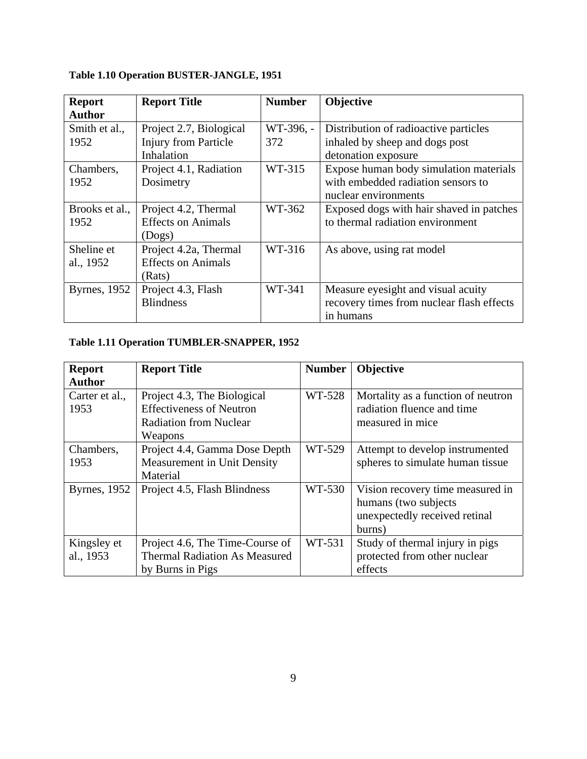| <b>Report</b>        | <b>Report Title</b>         | <b>Number</b> | Objective                                 |
|----------------------|-----------------------------|---------------|-------------------------------------------|
| <b>Author</b>        |                             |               |                                           |
| Smith et al.,        | Project 2.7, Biological     | WT-396, -     | Distribution of radioactive particles     |
| 1952                 | <b>Injury from Particle</b> | 372           | inhaled by sheep and dogs post            |
|                      | Inhalation                  |               | detonation exposure                       |
| Chambers,            | Project 4.1, Radiation      | WT-315        | Expose human body simulation materials    |
| 1952                 | Dosimetry                   |               | with embedded radiation sensors to        |
|                      |                             |               | nuclear environments                      |
| Brooks et al.,       | Project 4.2, Thermal        | WT-362        | Exposed dogs with hair shaved in patches  |
| 1952                 | <b>Effects on Animals</b>   |               | to thermal radiation environment          |
|                      | (Dogs)                      |               |                                           |
| Sheline et           | Project 4.2a, Thermal       | WT-316        | As above, using rat model                 |
| al., 1952            | <b>Effects on Animals</b>   |               |                                           |
|                      | (Rats)                      |               |                                           |
| <b>Byrnes</b> , 1952 | Project 4.3, Flash          | WT-341        | Measure eyesight and visual acuity        |
|                      | <b>Blindness</b>            |               | recovery times from nuclear flash effects |
|                      |                             |               | in humans                                 |

# **Table 1.10 Operation BUSTER-JANGLE, 1951**

# **Table 1.11 Operation TUMBLER-SNAPPER, 1952**

| <b>Report</b>        | <b>Report Title</b>                  | <b>Number</b> | <b>Objective</b>                   |
|----------------------|--------------------------------------|---------------|------------------------------------|
| <b>Author</b>        |                                      |               |                                    |
| Carter et al.,       | Project 4.3, The Biological          | WT-528        | Mortality as a function of neutron |
| 1953                 | <b>Effectiveness of Neutron</b>      |               | radiation fluence and time         |
|                      | <b>Radiation from Nuclear</b>        |               | measured in mice                   |
|                      | Weapons                              |               |                                    |
| Chambers,            | Project 4.4, Gamma Dose Depth        | WT-529        | Attempt to develop instrumented    |
| 1953                 | Measurement in Unit Density          |               | spheres to simulate human tissue   |
|                      | Material                             |               |                                    |
| <b>Byrnes</b> , 1952 | Project 4.5, Flash Blindness         | WT-530        | Vision recovery time measured in   |
|                      |                                      |               | humans (two subjects               |
|                      |                                      |               | unexpectedly received retinal      |
|                      |                                      |               | burns)                             |
| Kingsley et          | Project 4.6, The Time-Course of      | WT-531        | Study of thermal injury in pigs    |
| al., 1953            | <b>Thermal Radiation As Measured</b> |               | protected from other nuclear       |
|                      | by Burns in Pigs                     |               | effects                            |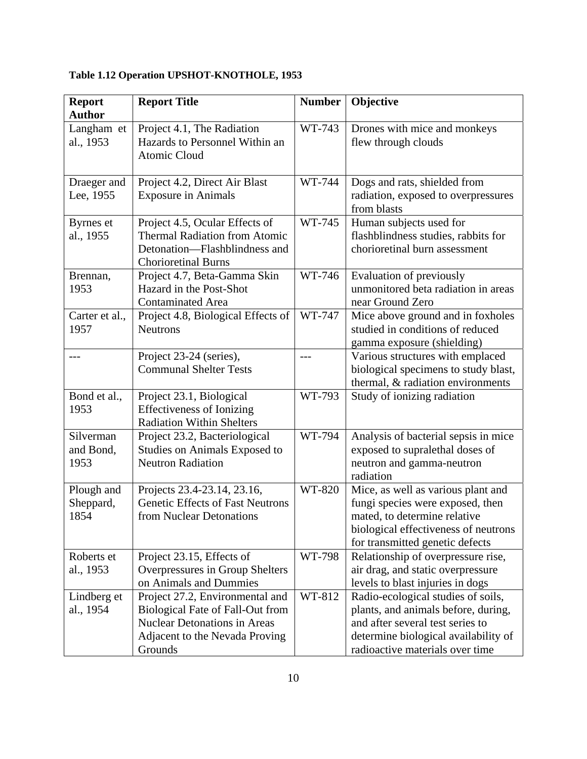| <b>Report</b><br><b>Author</b>  | <b>Report Title</b>                                                                                                                                     | <b>Number</b> | Objective                                                                                                                                                                                |
|---------------------------------|---------------------------------------------------------------------------------------------------------------------------------------------------------|---------------|------------------------------------------------------------------------------------------------------------------------------------------------------------------------------------------|
| Langham et<br>al., 1953         | Project 4.1, The Radiation<br>Hazards to Personnel Within an<br><b>Atomic Cloud</b>                                                                     | WT-743        | Drones with mice and monkeys<br>flew through clouds                                                                                                                                      |
| Draeger and<br>Lee, 1955        | Project 4.2, Direct Air Blast<br><b>Exposure in Animals</b>                                                                                             | WT-744        | Dogs and rats, shielded from<br>radiation, exposed to overpressures<br>from blasts                                                                                                       |
| Byrnes et<br>al., 1955          | Project 4.5, Ocular Effects of<br><b>Thermal Radiation from Atomic</b><br>Detonation—Flashblindness and<br><b>Chorioretinal Burns</b>                   | WT-745        | Human subjects used for<br>flashblindness studies, rabbits for<br>chorioretinal burn assessment                                                                                          |
| Brennan,<br>1953                | Project 4.7, Beta-Gamma Skin<br>Hazard in the Post-Shot<br><b>Contaminated Area</b>                                                                     | WT-746        | Evaluation of previously<br>unmonitored beta radiation in areas<br>near Ground Zero                                                                                                      |
| Carter et al.,<br>1957          | Project 4.8, Biological Effects of<br><b>Neutrons</b>                                                                                                   | WT-747        | Mice above ground and in foxholes<br>studied in conditions of reduced<br>gamma exposure (shielding)                                                                                      |
|                                 | Project 23-24 (series),<br><b>Communal Shelter Tests</b>                                                                                                | $---$         | Various structures with emplaced<br>biological specimens to study blast,<br>thermal, & radiation environments                                                                            |
| Bond et al.,<br>1953            | Project 23.1, Biological<br><b>Effectiveness of Ionizing</b><br><b>Radiation Within Shelters</b>                                                        | WT-793        | Study of ionizing radiation                                                                                                                                                              |
| Silverman<br>and Bond,<br>1953  | Project 23.2, Bacteriological<br>Studies on Animals Exposed to<br><b>Neutron Radiation</b>                                                              | WT-794        | Analysis of bacterial sepsis in mice<br>exposed to supralethal doses of<br>neutron and gamma-neutron<br>radiation                                                                        |
| Plough and<br>Sheppard,<br>1854 | Projects 23.4-23.14, 23.16,<br><b>Genetic Effects of Fast Neutrons</b><br>from Nuclear Detonations                                                      | WT-820        | Mice, as well as various plant and<br>fungi species were exposed, then<br>mated, to determine relative<br>biological effectiveness of neutrons<br>for transmitted genetic defects        |
| Roberts et<br>al., 1953         | Project 23.15, Effects of<br>Overpressures in Group Shelters<br>on Animals and Dummies                                                                  | WT-798        | Relationship of overpressure rise,<br>air drag, and static overpressure<br>levels to blast injuries in dogs                                                                              |
| Lindberg et<br>al., 1954        | Project 27.2, Environmental and<br>Biological Fate of Fall-Out from<br><b>Nuclear Detonations in Areas</b><br>Adjacent to the Nevada Proving<br>Grounds | WT-812        | Radio-ecological studies of soils,<br>plants, and animals before, during,<br>and after several test series to<br>determine biological availability of<br>radioactive materials over time |

# **Table 1.12 Operation UPSHOT-KNOTHOLE, 1953**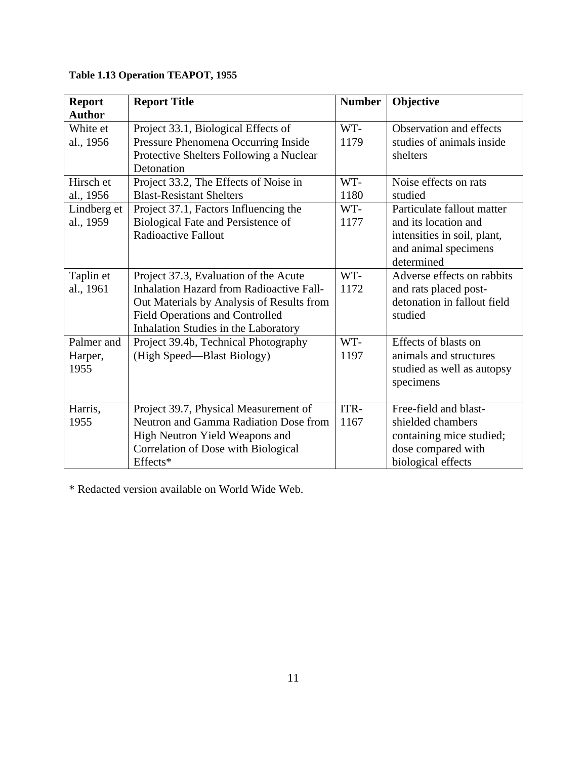| <b>Report</b> | <b>Report Title</b>                             | <b>Number</b> | Objective                   |
|---------------|-------------------------------------------------|---------------|-----------------------------|
| <b>Author</b> |                                                 |               |                             |
| White et      | Project 33.1, Biological Effects of             | WT-           | Observation and effects     |
| al., 1956     | Pressure Phenomena Occurring Inside             | 1179          | studies of animals inside   |
|               | Protective Shelters Following a Nuclear         |               | shelters                    |
|               | Detonation                                      |               |                             |
| Hirsch et     | Project 33.2, The Effects of Noise in           | WT-           | Noise effects on rats       |
| al., 1956     | <b>Blast-Resistant Shelters</b>                 | 1180          | studied                     |
| Lindberg et   | Project 37.1, Factors Influencing the           | WT-           | Particulate fallout matter  |
| al., 1959     | Biological Fate and Persistence of              | 1177          | and its location and        |
|               | <b>Radioactive Fallout</b>                      |               | intensities in soil, plant, |
|               |                                                 |               | and animal specimens        |
|               |                                                 |               | determined                  |
| Taplin et     | Project 37.3, Evaluation of the Acute           | WT-           | Adverse effects on rabbits  |
| al., 1961     | <b>Inhalation Hazard from Radioactive Fall-</b> | 1172          | and rats placed post-       |
|               | Out Materials by Analysis of Results from       |               | detonation in fallout field |
|               | <b>Field Operations and Controlled</b>          |               | studied                     |
|               | Inhalation Studies in the Laboratory            |               |                             |
| Palmer and    | Project 39.4b, Technical Photography            | WT-           | Effects of blasts on        |
| Harper,       | (High Speed—Blast Biology)                      | 1197          | animals and structures      |
| 1955          |                                                 |               | studied as well as autopsy  |
|               |                                                 |               | specimens                   |
|               |                                                 |               |                             |
| Harris,       | Project 39.7, Physical Measurement of           | ITR-          | Free-field and blast-       |
| 1955          | Neutron and Gamma Radiation Dose from           | 1167          | shielded chambers           |
|               | High Neutron Yield Weapons and                  |               | containing mice studied;    |
|               | Correlation of Dose with Biological             |               | dose compared with          |
|               | Effects*                                        |               | biological effects          |

# **Table 1.13 Operation TEAPOT, 1955**

\* Redacted version available on World Wide Web.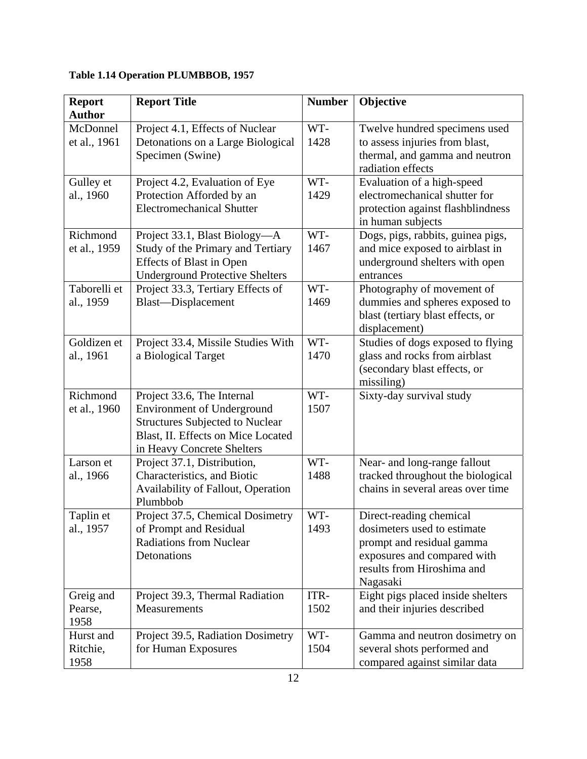| <b>Report</b><br><b>Author</b> | <b>Report Title</b>                                                                                                                                                           | <b>Number</b> | Objective                                                                                                                                                    |
|--------------------------------|-------------------------------------------------------------------------------------------------------------------------------------------------------------------------------|---------------|--------------------------------------------------------------------------------------------------------------------------------------------------------------|
| McDonnel<br>et al., 1961       | Project 4.1, Effects of Nuclear<br>Detonations on a Large Biological<br>Specimen (Swine)                                                                                      | WT-<br>1428   | Twelve hundred specimens used<br>to assess injuries from blast,<br>thermal, and gamma and neutron<br>radiation effects                                       |
| Gulley et<br>al., 1960         | Project 4.2, Evaluation of Eye<br>Protection Afforded by an<br><b>Electromechanical Shutter</b>                                                                               | WT-<br>1429   | Evaluation of a high-speed<br>electromechanical shutter for<br>protection against flashblindness<br>in human subjects                                        |
| Richmond<br>et al., 1959       | Project 33.1, Blast Biology—A<br>Study of the Primary and Tertiary<br><b>Effects of Blast in Open</b><br><b>Underground Protective Shelters</b>                               | WT-<br>1467   | Dogs, pigs, rabbits, guinea pigs,<br>and mice exposed to airblast in<br>underground shelters with open<br>entrances                                          |
| Taborelli et<br>al., 1959      | Project 33.3, Tertiary Effects of<br>Blast-Displacement                                                                                                                       | WT-<br>1469   | Photography of movement of<br>dummies and spheres exposed to<br>blast (tertiary blast effects, or<br>displacement)                                           |
| Goldizen et<br>al., 1961       | Project 33.4, Missile Studies With<br>a Biological Target                                                                                                                     | WT-<br>1470   | Studies of dogs exposed to flying<br>glass and rocks from airblast<br>(secondary blast effects, or<br>missiling)                                             |
| Richmond<br>et al., 1960       | Project 33.6, The Internal<br><b>Environment of Underground</b><br><b>Structures Subjected to Nuclear</b><br>Blast, II. Effects on Mice Located<br>in Heavy Concrete Shelters | WT-<br>1507   | Sixty-day survival study                                                                                                                                     |
| Larson et<br>al., 1966         | Project 37.1, Distribution,<br>Characteristics, and Biotic<br>Availability of Fallout, Operation<br>Plumbbob                                                                  | WT-<br>1488   | Near- and long-range fallout<br>tracked throughout the biological<br>chains in several areas over time                                                       |
| Taplin et<br>al., 1957         | Project 37.5, Chemical Dosimetry<br>of Prompt and Residual<br><b>Radiations from Nuclear</b><br>Detonations                                                                   | WT-<br>1493   | Direct-reading chemical<br>dosimeters used to estimate<br>prompt and residual gamma<br>exposures and compared with<br>results from Hiroshima and<br>Nagasaki |
| Greig and<br>Pearse,<br>1958   | Project 39.3, Thermal Radiation<br>Measurements                                                                                                                               | ITR-<br>1502  | Eight pigs placed inside shelters<br>and their injuries described                                                                                            |
| Hurst and<br>Ritchie,<br>1958  | Project 39.5, Radiation Dosimetry<br>for Human Exposures                                                                                                                      | WT-<br>1504   | Gamma and neutron dosimetry on<br>several shots performed and<br>compared against similar data                                                               |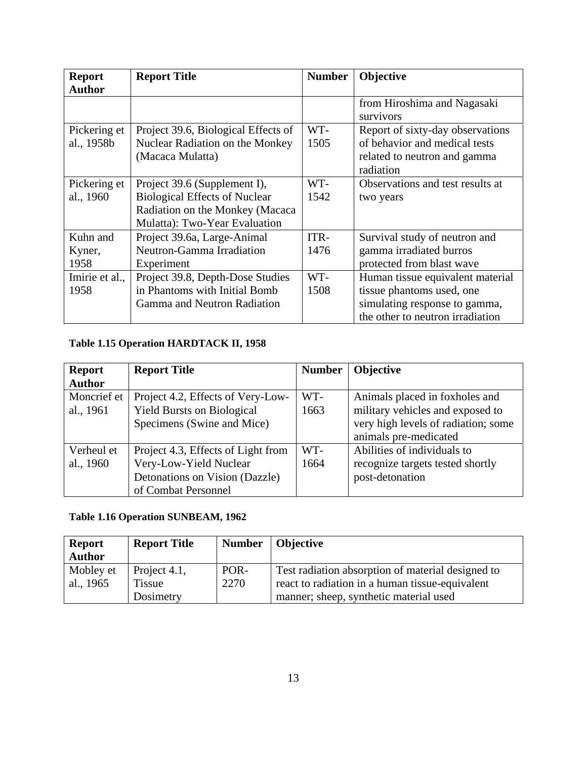| <b>Report</b>  | <b>Report Title</b>                  | <b>Number</b> | Objective                        |
|----------------|--------------------------------------|---------------|----------------------------------|
| <b>Author</b>  |                                      |               |                                  |
|                |                                      |               | from Hiroshima and Nagasaki      |
|                |                                      |               | survivors                        |
| Pickering et   | Project 39.6, Biological Effects of  | WT-           | Report of sixty-day observations |
| al., 1958b     | Nuclear Radiation on the Monkey      | 1505          | of behavior and medical tests    |
|                | (Macaca Mulatta)                     |               | related to neutron and gamma     |
|                |                                      |               | radiation                        |
| Pickering et   | Project 39.6 (Supplement I),         | WT-           | Observations and test results at |
| al., 1960      | <b>Biological Effects of Nuclear</b> | 1542          | two years                        |
|                | Radiation on the Monkey (Macaca      |               |                                  |
|                | Mulatta): Two-Year Evaluation        |               |                                  |
| Kuhn and       | Project 39.6a, Large-Animal          | ITR-          | Survival study of neutron and    |
| Kyner,         | Neutron-Gamma Irradiation            | 1476          | gamma irradiated burros          |
| 1958           | Experiment                           |               | protected from blast wave        |
| Imirie et al., | Project 39.8, Depth-Dose Studies     | WT-           | Human tissue equivalent material |
| 1958           | in Phantoms with Initial Bomb        | 1508          | tissue phantoms used, one        |
|                | Gamma and Neutron Radiation          |               | simulating response to gamma,    |
|                |                                      |               | the other to neutron irradiation |

# **Table 1.15 Operation HARDTACK II, 1958**

| <b>Report</b> | <b>Report Title</b>                | <b>Number</b> | <b>Objective</b>                    |
|---------------|------------------------------------|---------------|-------------------------------------|
| <b>Author</b> |                                    |               |                                     |
| Moncrief et   | Project 4.2, Effects of Very-Low-  | WT-           | Animals placed in foxholes and      |
| al., 1961     | <b>Yield Bursts on Biological</b>  | 1663          | military vehicles and exposed to    |
|               | Specimens (Swine and Mice)         |               | very high levels of radiation; some |
|               |                                    |               | animals pre-medicated               |
| Verheul et    | Project 4.3, Effects of Light from | WT-           | Abilities of individuals to         |
| al., 1960     | Very-Low-Yield Nuclear             | 1664          | recognize targets tested shortly    |
|               | Detonations on Vision (Dazzle)     |               | post-detonation                     |
|               | of Combat Personnel                |               |                                     |

# **Table 1.16 Operation SUNBEAM, 1962**

| <b>Report</b><br><b>Author</b> | <b>Report Title</b> | <b>Number</b> | <b>Objective</b>                                  |
|--------------------------------|---------------------|---------------|---------------------------------------------------|
| Mobley et                      | Project 4.1,        | POR-          | Test radiation absorption of material designed to |
| al., 1965                      | Tissue              | 2270          | react to radiation in a human tissue-equivalent   |
|                                | Dosimetry           |               | manner; sheep, synthetic material used            |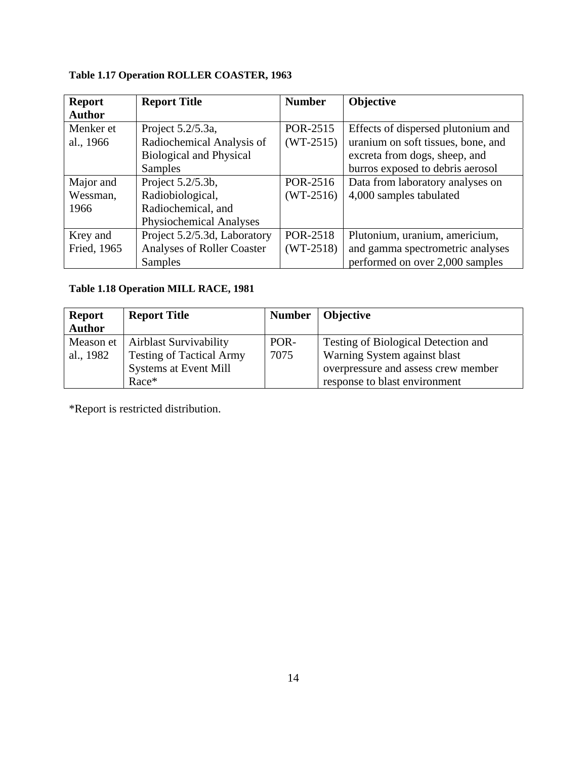**Table 1.17 Operation ROLLER COASTER, 1963** 

| <b>Report</b> | <b>Report Title</b>               | <b>Number</b> | <b>Objective</b>                   |
|---------------|-----------------------------------|---------------|------------------------------------|
| <b>Author</b> |                                   |               |                                    |
| Menker et     | Project 5.2/5.3a,                 | POR-2515      | Effects of dispersed plutonium and |
| al., 1966     | Radiochemical Analysis of         | $(WT-2515)$   | uranium on soft tissues, bone, and |
|               | <b>Biological and Physical</b>    |               | excreta from dogs, sheep, and      |
|               | Samples                           |               | burros exposed to debris aerosol   |
| Major and     | Project 5.2/5.3b,                 | POR-2516      | Data from laboratory analyses on   |
| Wessman,      | Radiobiological,                  | $(WT-2516)$   | 4,000 samples tabulated            |
| 1966          | Radiochemical, and                |               |                                    |
|               | <b>Physiochemical Analyses</b>    |               |                                    |
| Krey and      | Project 5.2/5.3d, Laboratory      | POR-2518      | Plutonium, uranium, americium,     |
| Fried, 1965   | <b>Analyses of Roller Coaster</b> | $(WT-2518)$   | and gamma spectrometric analyses   |
|               | Samples                           |               | performed on over 2,000 samples    |

# **Table 1.18 Operation MILL RACE, 1981**

| <b>Report</b><br><b>Author</b> | <b>Report Title</b>             |      | Number   Objective                  |
|--------------------------------|---------------------------------|------|-------------------------------------|
| Meason et                      | <b>Airblast Survivability</b>   | POR- | Testing of Biological Detection and |
| al., 1982                      | <b>Testing of Tactical Army</b> | 7075 | Warning System against blast        |
|                                | <b>Systems at Event Mill</b>    |      | overpressure and assess crew member |
|                                | Race*                           |      | response to blast environment       |

\*Report is restricted distribution.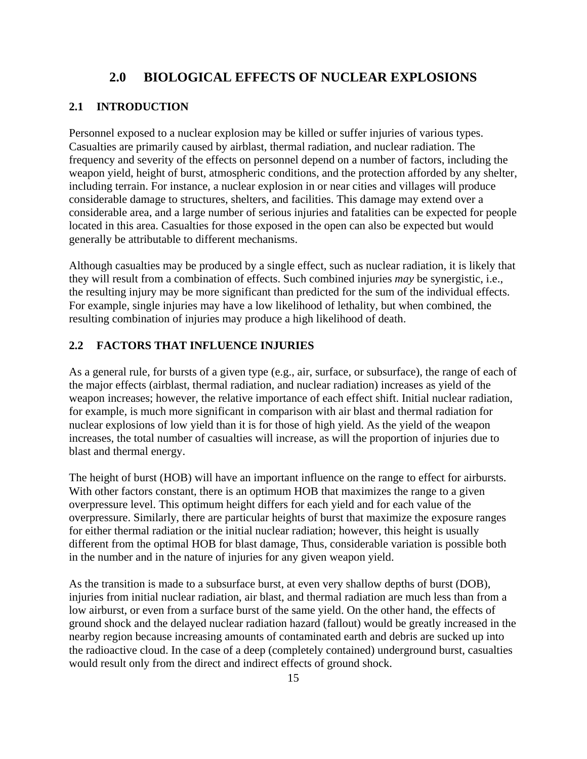#### **2.0 BIOLOGICAL EFFECTS OF NUCLEAR EXPLOSIONS**

#### **2.1 INTRODUCTION**

Personnel exposed to a nuclear explosion may be killed or suffer injuries of various types. Casualties are primarily caused by airblast, thermal radiation, and nuclear radiation. The frequency and severity of the effects on personnel depend on a number of factors, including the weapon yield, height of burst, atmospheric conditions, and the protection afforded by any shelter, including terrain. For instance, a nuclear explosion in or near cities and villages will produce considerable damage to structures, shelters, and facilities. This damage may extend over a considerable area, and a large number of serious injuries and fatalities can be expected for people located in this area. Casualties for those exposed in the open can also be expected but would generally be attributable to different mechanisms.

Although casualties may be produced by a single effect, such as nuclear radiation, it is likely that they will result from a combination of effects. Such combined injuries *may* be synergistic, i.e., the resulting injury may be more significant than predicted for the sum of the individual effects. For example, single injuries may have a low likelihood of lethality, but when combined, the resulting combination of injuries may produce a high likelihood of death.

#### **2.2 FACTORS THAT INFLUENCE INJURIES**

As a general rule, for bursts of a given type (e.g., air, surface, or subsurface), the range of each of the major effects (airblast, thermal radiation, and nuclear radiation) increases as yield of the weapon increases; however, the relative importance of each effect shift. Initial nuclear radiation, for example, is much more significant in comparison with air blast and thermal radiation for nuclear explosions of low yield than it is for those of high yield. As the yield of the weapon increases, the total number of casualties will increase, as will the proportion of injuries due to blast and thermal energy.

The height of burst (HOB) will have an important influence on the range to effect for airbursts. With other factors constant, there is an optimum HOB that maximizes the range to a given overpressure level. This optimum height differs for each yield and for each value of the overpressure. Similarly, there are particular heights of burst that maximize the exposure ranges for either thermal radiation or the initial nuclear radiation; however, this height is usually different from the optimal HOB for blast damage, Thus, considerable variation is possible both in the number and in the nature of injuries for any given weapon yield.

As the transition is made to a subsurface burst, at even very shallow depths of burst (DOB), injuries from initial nuclear radiation, air blast, and thermal radiation are much less than from a low airburst, or even from a surface burst of the same yield. On the other hand, the effects of ground shock and the delayed nuclear radiation hazard (fallout) would be greatly increased in the nearby region because increasing amounts of contaminated earth and debris are sucked up into the radioactive cloud. In the case of a deep (completely contained) underground burst, casualties would result only from the direct and indirect effects of ground shock.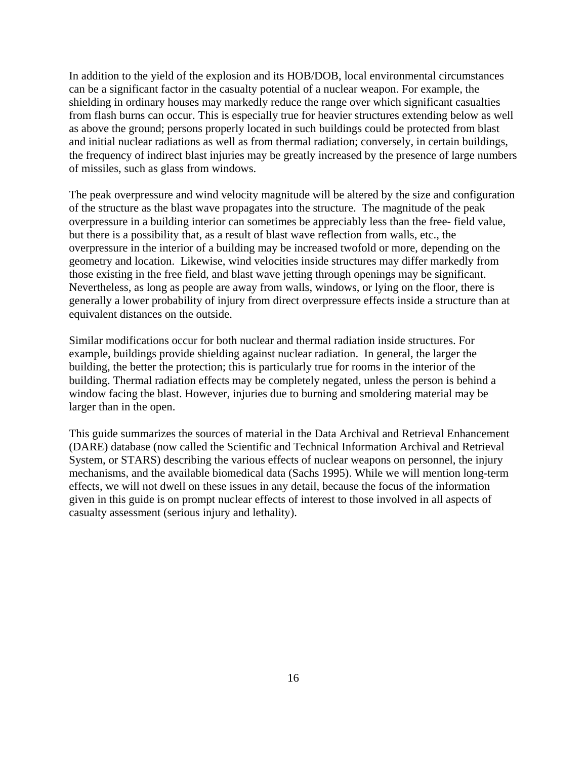In addition to the yield of the explosion and its HOB/DOB, local environmental circumstances can be a significant factor in the casualty potential of a nuclear weapon. For example, the shielding in ordinary houses may markedly reduce the range over which significant casualties from flash burns can occur. This is especially true for heavier structures extending below as well as above the ground; persons properly located in such buildings could be protected from blast and initial nuclear radiations as well as from thermal radiation; conversely, in certain buildings, the frequency of indirect blast injuries may be greatly increased by the presence of large numbers of missiles, such as glass from windows.

The peak overpressure and wind velocity magnitude will be altered by the size and configuration of the structure as the blast wave propagates into the structure. The magnitude of the peak overpressure in a building interior can sometimes be appreciably less than the free- field value, but there is a possibility that, as a result of blast wave reflection from walls, etc., the overpressure in the interior of a building may be increased twofold or more, depending on the geometry and location. Likewise, wind velocities inside structures may differ markedly from those existing in the free field, and blast wave jetting through openings may be significant. Nevertheless, as long as people are away from walls, windows, or lying on the floor, there is generally a lower probability of injury from direct overpressure effects inside a structure than at equivalent distances on the outside.

Similar modifications occur for both nuclear and thermal radiation inside structures. For example, buildings provide shielding against nuclear radiation. In general, the larger the building, the better the protection; this is particularly true for rooms in the interior of the building. Thermal radiation effects may be completely negated, unless the person is behind a window facing the blast. However, injuries due to burning and smoldering material may be larger than in the open.

This guide summarizes the sources of material in the Data Archival and Retrieval Enhancement (DARE) database (now called the Scientific and Technical Information Archival and Retrieval System, or STARS) describing the various effects of nuclear weapons on personnel, the injury mechanisms, and the available biomedical data (Sachs 1995). While we will mention long-term effects, we will not dwell on these issues in any detail, because the focus of the information given in this guide is on prompt nuclear effects of interest to those involved in all aspects of casualty assessment (serious injury and lethality).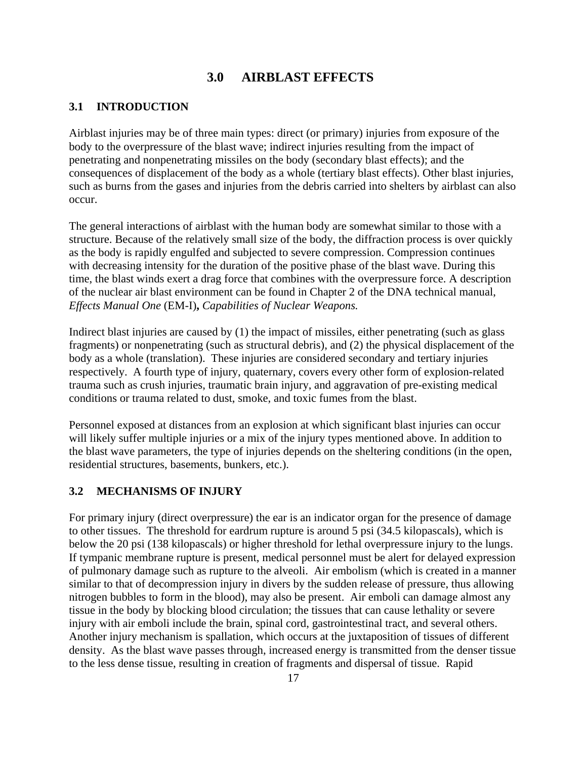## **3.0 AIRBLAST EFFECTS**

#### **3.1 INTRODUCTION**

Airblast injuries may be of three main types: direct (or primary) injuries from exposure of the body to the overpressure of the blast wave; indirect injuries resulting from the impact of penetrating and nonpenetrating missiles on the body (secondary blast effects); and the consequences of displacement of the body as a whole (tertiary blast effects). Other blast injuries, such as burns from the gases and injuries from the debris carried into shelters by airblast can also occur.

The general interactions of airblast with the human body are somewhat similar to those with a structure. Because of the relatively small size of the body, the diffraction process is over quickly as the body is rapidly engulfed and subjected to severe compression. Compression continues with decreasing intensity for the duration of the positive phase of the blast wave. During this time, the blast winds exert a drag force that combines with the overpressure force. A description of the nuclear air blast environment can be found in Chapter 2 of the DNA technical manual, *Effects Manual One* (EM-I)**,** *Capabilities of Nuclear Weapons.*

Indirect blast injuries are caused by (1) the impact of missiles, either penetrating (such as glass fragments) or nonpenetrating (such as structural debris), and (2) the physical displacement of the body as a whole (translation). These injuries are considered secondary and tertiary injuries respectively. A fourth type of injury, quaternary, covers every other form of explosion-related trauma such as crush injuries, traumatic brain injury, and aggravation of pre-existing medical conditions or trauma related to dust, smoke, and toxic fumes from the blast.

Personnel exposed at distances from an explosion at which significant blast injuries can occur will likely suffer multiple injuries or a mix of the injury types mentioned above. In addition to the blast wave parameters, the type of injuries depends on the sheltering conditions (in the open, residential structures, basements, bunkers, etc.).

#### **3.2 MECHANISMS OF INJURY**

For primary injury (direct overpressure) the ear is an indicator organ for the presence of damage to other tissues. The threshold for eardrum rupture is around 5 psi (34.5 kilopascals), which is below the 20 psi (138 kilopascals) or higher threshold for lethal overpressure injury to the lungs. If tympanic membrane rupture is present, medical personnel must be alert for delayed expression of pulmonary damage such as rupture to the alveoli. Air embolism (which is created in a manner similar to that of decompression injury in divers by the sudden release of pressure, thus allowing nitrogen bubbles to form in the blood), may also be present. Air emboli can damage almost any tissue in the body by blocking blood circulation; the tissues that can cause lethality or severe injury with air emboli include the brain, spinal cord, gastrointestinal tract, and several others. Another injury mechanism is spallation, which occurs at the juxtaposition of tissues of different density. As the blast wave passes through, increased energy is transmitted from the denser tissue to the less dense tissue, resulting in creation of fragments and dispersal of tissue. Rapid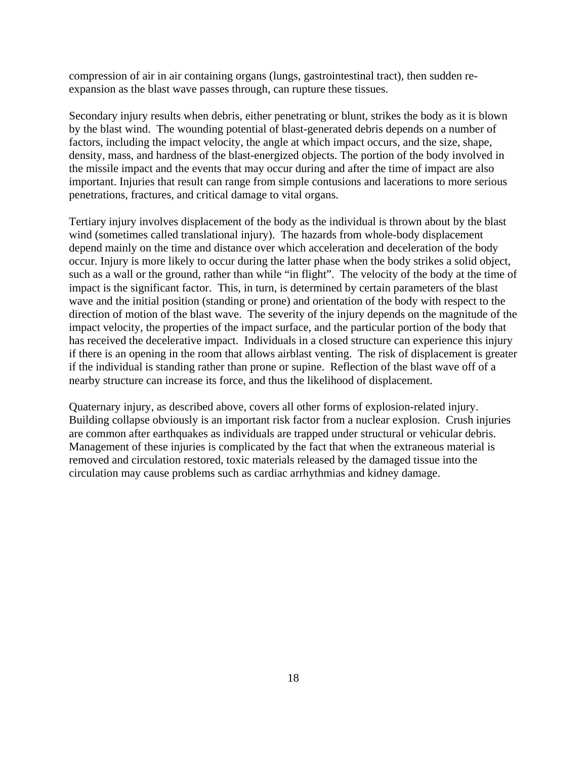compression of air in air containing organs (lungs, gastrointestinal tract), then sudden reexpansion as the blast wave passes through, can rupture these tissues.

Secondary injury results when debris, either penetrating or blunt, strikes the body as it is blown by the blast wind. The wounding potential of blast-generated debris depends on a number of factors, including the impact velocity, the angle at which impact occurs, and the size, shape, density, mass, and hardness of the blast-energized objects. The portion of the body involved in the missile impact and the events that may occur during and after the time of impact are also important. Injuries that result can range from simple contusions and lacerations to more serious penetrations, fractures, and critical damage to vital organs.

Tertiary injury involves displacement of the body as the individual is thrown about by the blast wind (sometimes called translational injury). The hazards from whole-body displacement depend mainly on the time and distance over which acceleration and deceleration of the body occur. Injury is more likely to occur during the latter phase when the body strikes a solid object, such as a wall or the ground, rather than while "in flight". The velocity of the body at the time of impact is the significant factor. This, in turn, is determined by certain parameters of the blast wave and the initial position (standing or prone) and orientation of the body with respect to the direction of motion of the blast wave. The severity of the injury depends on the magnitude of the impact velocity, the properties of the impact surface, and the particular portion of the body that has received the decelerative impact. Individuals in a closed structure can experience this injury if there is an opening in the room that allows airblast venting. The risk of displacement is greater if the individual is standing rather than prone or supine. Reflection of the blast wave off of a nearby structure can increase its force, and thus the likelihood of displacement.

Quaternary injury, as described above, covers all other forms of explosion-related injury. Building collapse obviously is an important risk factor from a nuclear explosion. Crush injuries are common after earthquakes as individuals are trapped under structural or vehicular debris. Management of these injuries is complicated by the fact that when the extraneous material is removed and circulation restored, toxic materials released by the damaged tissue into the circulation may cause problems such as cardiac arrhythmias and kidney damage.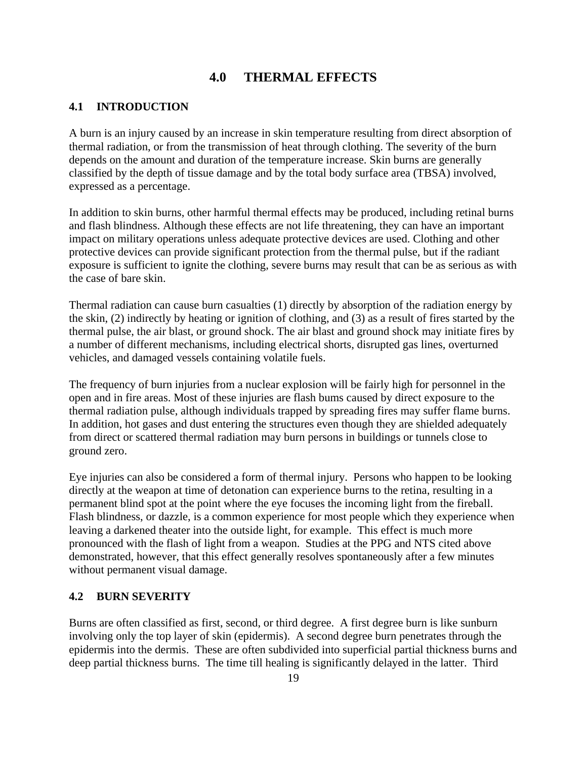## **4.0 THERMAL EFFECTS**

#### **4.1 INTRODUCTION**

A burn is an injury caused by an increase in skin temperature resulting from direct absorption of thermal radiation, or from the transmission of heat through clothing. The severity of the burn depends on the amount and duration of the temperature increase. Skin burns are generally classified by the depth of tissue damage and by the total body surface area (TBSA) involved, expressed as a percentage.

In addition to skin burns, other harmful thermal effects may be produced, including retinal burns and flash blindness. Although these effects are not life threatening, they can have an important impact on military operations unless adequate protective devices are used. Clothing and other protective devices can provide significant protection from the thermal pulse, but if the radiant exposure is sufficient to ignite the clothing, severe burns may result that can be as serious as with the case of bare skin.

Thermal radiation can cause burn casualties (1) directly by absorption of the radiation energy by the skin, (2) indirectly by heating or ignition of clothing, and (3) as a result of fires started by the thermal pulse, the air blast, or ground shock. The air blast and ground shock may initiate fires by a number of different mechanisms, including electrical shorts, disrupted gas lines, overturned vehicles, and damaged vessels containing volatile fuels.

The frequency of burn injuries from a nuclear explosion will be fairly high for personnel in the open and in fire areas. Most of these injuries are flash bums caused by direct exposure to the thermal radiation pulse, although individuals trapped by spreading fires may suffer flame burns. In addition, hot gases and dust entering the structures even though they are shielded adequately from direct or scattered thermal radiation may burn persons in buildings or tunnels close to ground zero.

Eye injuries can also be considered a form of thermal injury. Persons who happen to be looking directly at the weapon at time of detonation can experience burns to the retina, resulting in a permanent blind spot at the point where the eye focuses the incoming light from the fireball. Flash blindness, or dazzle, is a common experience for most people which they experience when leaving a darkened theater into the outside light, for example. This effect is much more pronounced with the flash of light from a weapon. Studies at the PPG and NTS cited above demonstrated, however, that this effect generally resolves spontaneously after a few minutes without permanent visual damage.

#### **4.2 BURN SEVERITY**

Burns are often classified as first, second, or third degree. A first degree burn is like sunburn involving only the top layer of skin (epidermis). A second degree burn penetrates through the epidermis into the dermis. These are often subdivided into superficial partial thickness burns and deep partial thickness burns. The time till healing is significantly delayed in the latter. Third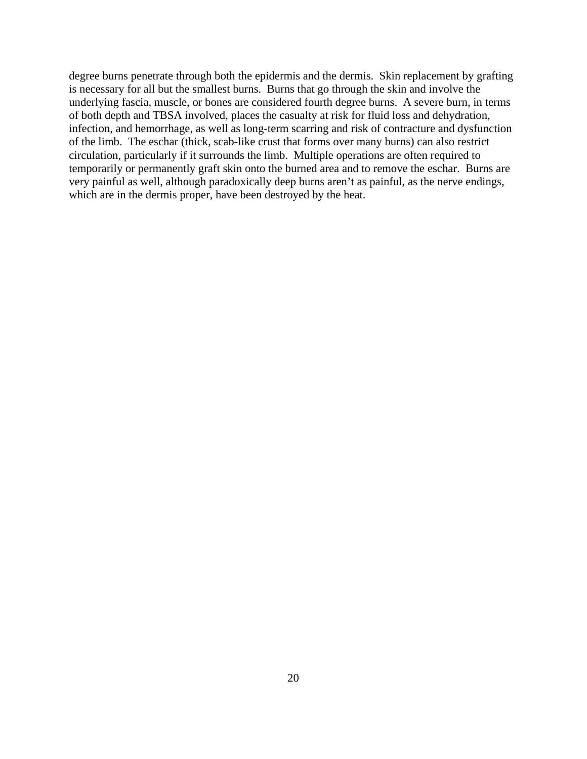degree burns penetrate through both the epidermis and the dermis. Skin replacement by grafting is necessary for all but the smallest burns. Burns that go through the skin and involve the underlying fascia, muscle, or bones are considered fourth degree burns. A severe burn, in terms of both depth and TBSA involved, places the casualty at risk for fluid loss and dehydration, infection, and hemorrhage, as well as long-term scarring and risk of contracture and dysfunction of the limb. The eschar (thick, scab-like crust that forms over many burns) can also restrict circulation, particularly if it surrounds the limb. Multiple operations are often required to temporarily or permanently graft skin onto the burned area and to remove the eschar. Burns are very painful as well, although paradoxically deep burns aren't as painful, as the nerve endings, which are in the dermis proper, have been destroyed by the heat.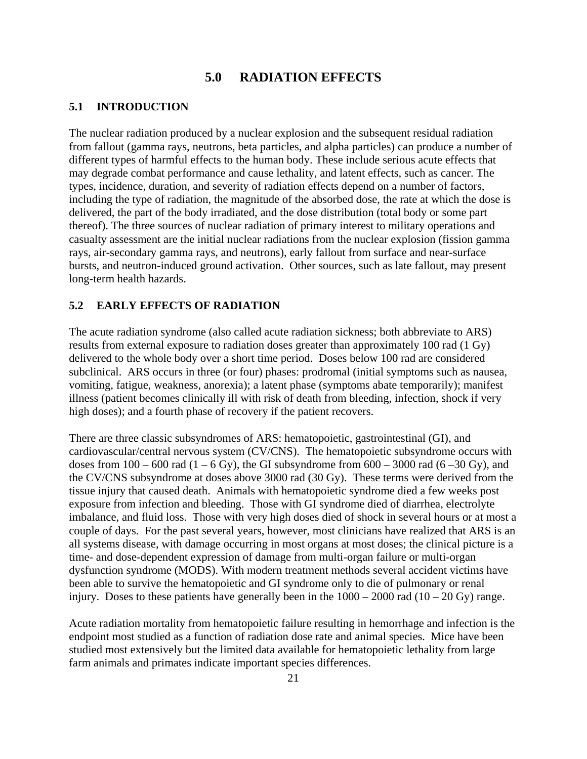#### **5.0 RADIATION EFFECTS**

#### **5.1 INTRODUCTION**

The nuclear radiation produced by a nuclear explosion and the subsequent residual radiation from fallout (gamma rays, neutrons, beta particles, and alpha particles) can produce a number of different types of harmful effects to the human body. These include serious acute effects that may degrade combat performance and cause lethality, and latent effects, such as cancer. The types, incidence, duration, and severity of radiation effects depend on a number of factors, including the type of radiation, the magnitude of the absorbed dose, the rate at which the dose is delivered, the part of the body irradiated, and the dose distribution (total body or some part thereof). The three sources of nuclear radiation of primary interest to military operations and casualty assessment are the initial nuclear radiations from the nuclear explosion (fission gamma rays, air-secondary gamma rays, and neutrons), early fallout from surface and near-surface bursts, and neutron-induced ground activation. Other sources, such as late fallout, may present long-term health hazards.

#### **5.2 EARLY EFFECTS OF RADIATION**

The acute radiation syndrome (also called acute radiation sickness; both abbreviate to ARS) results from external exposure to radiation doses greater than approximately 100 rad (1 Gy) delivered to the whole body over a short time period. Doses below 100 rad are considered subclinical. ARS occurs in three (or four) phases: prodromal (initial symptoms such as nausea, vomiting, fatigue, weakness, anorexia); a latent phase (symptoms abate temporarily); manifest illness (patient becomes clinically ill with risk of death from bleeding, infection, shock if very high doses); and a fourth phase of recovery if the patient recovers.

There are three classic subsyndromes of ARS: hematopoietic, gastrointestinal (GI), and cardiovascular/central nervous system (CV/CNS). The hematopoietic subsyndrome occurs with doses from  $100 - 600$  rad  $(1 - 6$  Gy), the GI subsyndrome from  $600 - 3000$  rad  $(6 - 30$  Gy), and the CV/CNS subsyndrome at doses above 3000 rad (30 Gy). These terms were derived from the tissue injury that caused death. Animals with hematopoietic syndrome died a few weeks post exposure from infection and bleeding. Those with GI syndrome died of diarrhea, electrolyte imbalance, and fluid loss. Those with very high doses died of shock in several hours or at most a couple of days. For the past several years, however, most clinicians have realized that ARS is an all systems disease, with damage occurring in most organs at most doses; the clinical picture is a time- and dose-dependent expression of damage from multi-organ failure or multi-organ dysfunction syndrome (MODS). With modern treatment methods several accident victims have been able to survive the hematopoietic and GI syndrome only to die of pulmonary or renal injury. Doses to these patients have generally been in the  $1000 - 2000$  rad  $(10 - 20 \text{ Gy})$  range.

Acute radiation mortality from hematopoietic failure resulting in hemorrhage and infection is the endpoint most studied as a function of radiation dose rate and animal species. Mice have been studied most extensively but the limited data available for hematopoietic lethality from large farm animals and primates indicate important species differences.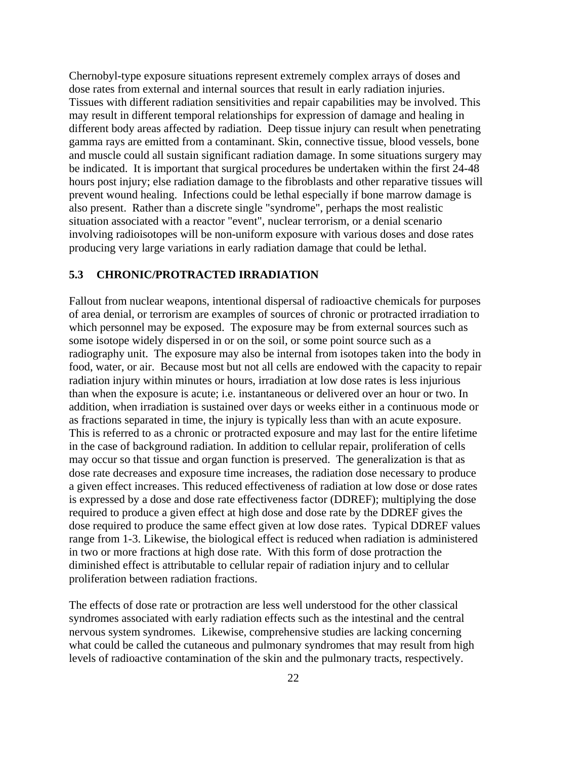Chernobyl-type exposure situations represent extremely complex arrays of doses and dose rates from external and internal sources that result in early radiation injuries. Tissues with different radiation sensitivities and repair capabilities may be involved. This may result in different temporal relationships for expression of damage and healing in different body areas affected by radiation. Deep tissue injury can result when penetrating gamma rays are emitted from a contaminant. Skin, connective tissue, blood vessels, bone and muscle could all sustain significant radiation damage. In some situations surgery may be indicated. It is important that surgical procedures be undertaken within the first 24-48 hours post injury; else radiation damage to the fibroblasts and other reparative tissues will prevent wound healing. Infections could be lethal especially if bone marrow damage is also present. Rather than a discrete single "syndrome", perhaps the most realistic situation associated with a reactor "event", nuclear terrorism, or a denial scenario involving radioisotopes will be non-uniform exposure with various doses and dose rates producing very large variations in early radiation damage that could be lethal.

#### **5.3 CHRONIC/PROTRACTED IRRADIATION**

Fallout from nuclear weapons, intentional dispersal of radioactive chemicals for purposes of area denial, or terrorism are examples of sources of chronic or protracted irradiation to which personnel may be exposed. The exposure may be from external sources such as some isotope widely dispersed in or on the soil, or some point source such as a radiography unit. The exposure may also be internal from isotopes taken into the body in food, water, or air. Because most but not all cells are endowed with the capacity to repair radiation injury within minutes or hours, irradiation at low dose rates is less injurious than when the exposure is acute; i.e. instantaneous or delivered over an hour or two. In addition, when irradiation is sustained over days or weeks either in a continuous mode or as fractions separated in time, the injury is typically less than with an acute exposure. This is referred to as a chronic or protracted exposure and may last for the entire lifetime in the case of background radiation. In addition to cellular repair, proliferation of cells may occur so that tissue and organ function is preserved. The generalization is that as dose rate decreases and exposure time increases, the radiation dose necessary to produce a given effect increases. This reduced effectiveness of radiation at low dose or dose rates is expressed by a dose and dose rate effectiveness factor (DDREF); multiplying the dose required to produce a given effect at high dose and dose rate by the DDREF gives the dose required to produce the same effect given at low dose rates. Typical DDREF values range from 1-3. Likewise, the biological effect is reduced when radiation is administered in two or more fractions at high dose rate. With this form of dose protraction the diminished effect is attributable to cellular repair of radiation injury and to cellular proliferation between radiation fractions.

The effects of dose rate or protraction are less well understood for the other classical syndromes associated with early radiation effects such as the intestinal and the central nervous system syndromes. Likewise, comprehensive studies are lacking concerning what could be called the cutaneous and pulmonary syndromes that may result from high levels of radioactive contamination of the skin and the pulmonary tracts, respectively.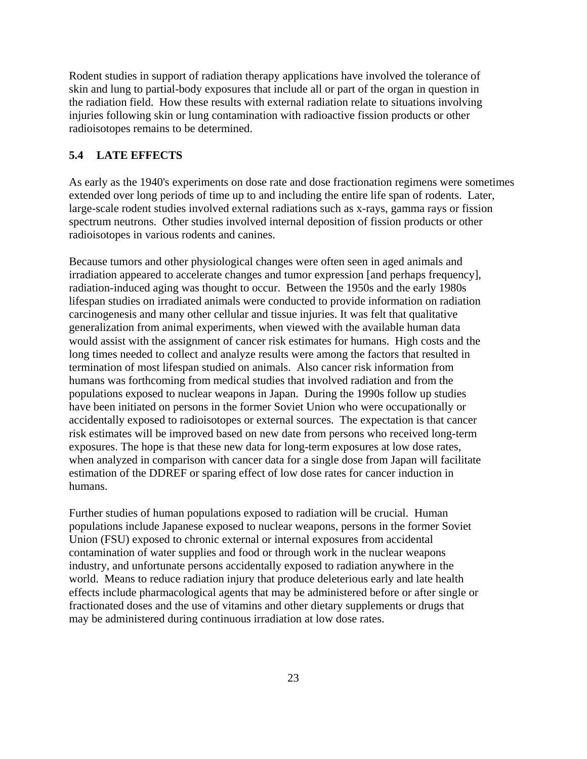Rodent studies in support of radiation therapy applications have involved the tolerance of skin and lung to partial-body exposures that include all or part of the organ in question in the radiation field. How these results with external radiation relate to situations involving injuries following skin or lung contamination with radioactive fission products or other radioisotopes remains to be determined.

#### **5.4 LATE EFFECTS**

As early as the 1940's experiments on dose rate and dose fractionation regimens were sometimes extended over long periods of time up to and including the entire life span of rodents. Later, large-scale rodent studies involved external radiations such as x-rays, gamma rays or fission spectrum neutrons. Other studies involved internal deposition of fission products or other radioisotopes in various rodents and canines.

Because tumors and other physiological changes were often seen in aged animals and irradiation appeared to accelerate changes and tumor expression [and perhaps frequency], radiation-induced aging was thought to occur. Between the 1950s and the early 1980s lifespan studies on irradiated animals were conducted to provide information on radiation carcinogenesis and many other cellular and tissue injuries. It was felt that qualitative generalization from animal experiments, when viewed with the available human data would assist with the assignment of cancer risk estimates for humans. High costs and the long times needed to collect and analyze results were among the factors that resulted in termination of most lifespan studied on animals. Also cancer risk information from humans was forthcoming from medical studies that involved radiation and from the populations exposed to nuclear weapons in Japan. During the 1990s follow up studies have been initiated on persons in the former Soviet Union who were occupationally or accidentally exposed to radioisotopes or external sources. The expectation is that cancer risk estimates will be improved based on new date from persons who received long-term exposures. The hope is that these new data for long-term exposures at low dose rates, when analyzed in comparison with cancer data for a single dose from Japan will facilitate estimation of the DDREF or sparing effect of low dose rates for cancer induction in humans.

Further studies of human populations exposed to radiation will be crucial. Human populations include Japanese exposed to nuclear weapons, persons in the former Soviet Union (FSU) exposed to chronic external or internal exposures from accidental contamination of water supplies and food or through work in the nuclear weapons industry, and unfortunate persons accidentally exposed to radiation anywhere in the world. Means to reduce radiation injury that produce deleterious early and late health effects include pharmacological agents that may be administered before or after single or fractionated doses and the use of vitamins and other dietary supplements or drugs that may be administered during continuous irradiation at low dose rates.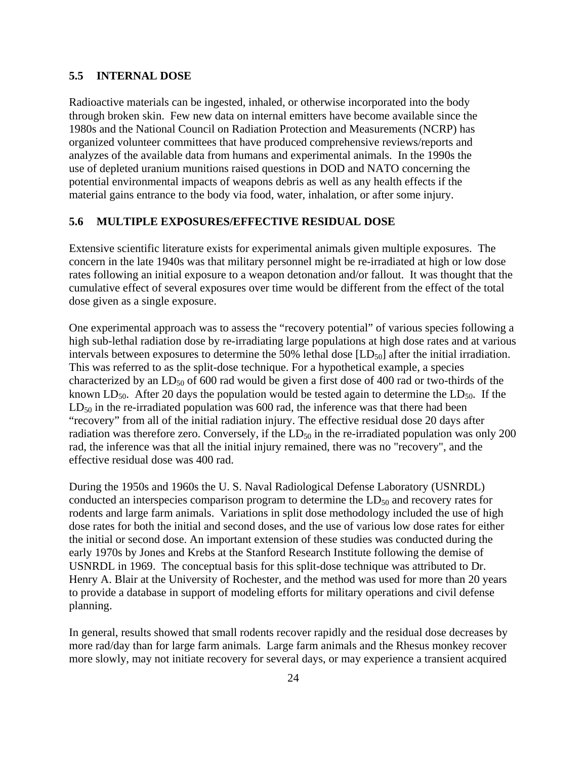#### **5.5 INTERNAL DOSE**

Radioactive materials can be ingested, inhaled, or otherwise incorporated into the body through broken skin. Few new data on internal emitters have become available since the 1980s and the National Council on Radiation Protection and Measurements (NCRP) has organized volunteer committees that have produced comprehensive reviews/reports and analyzes of the available data from humans and experimental animals. In the 1990s the use of depleted uranium munitions raised questions in DOD and NATO concerning the potential environmental impacts of weapons debris as well as any health effects if the material gains entrance to the body via food, water, inhalation, or after some injury.

#### **5.6 MULTIPLE EXPOSURES/EFFECTIVE RESIDUAL DOSE**

Extensive scientific literature exists for experimental animals given multiple exposures. The concern in the late 1940s was that military personnel might be re-irradiated at high or low dose rates following an initial exposure to a weapon detonation and/or fallout. It was thought that the cumulative effect of several exposures over time would be different from the effect of the total dose given as a single exposure.

One experimental approach was to assess the "recovery potential" of various species following a high sub-lethal radiation dose by re-irradiating large populations at high dose rates and at various intervals between exposures to determine the 50% lethal dose  $[LD_{50}]$  after the initial irradiation. This was referred to as the split-dose technique. For a hypothetical example, a species characterized by an  $LD_{50}$  of 600 rad would be given a first dose of 400 rad or two-thirds of the known LD<sub>50</sub>. After 20 days the population would be tested again to determine the LD<sub>50</sub>. If the  $LD_{50}$  in the re-irradiated population was 600 rad, the inference was that there had been "recovery" from all of the initial radiation injury. The effective residual dose 20 days after radiation was therefore zero. Conversely, if the  $LD_{50}$  in the re-irradiated population was only 200 rad, the inference was that all the initial injury remained, there was no "recovery", and the effective residual dose was 400 rad.

During the 1950s and 1960s the U. S. Naval Radiological Defense Laboratory (USNRDL) conducted an interspecies comparison program to determine the  $LD_{50}$  and recovery rates for rodents and large farm animals. Variations in split dose methodology included the use of high dose rates for both the initial and second doses, and the use of various low dose rates for either the initial or second dose. An important extension of these studies was conducted during the early 1970s by Jones and Krebs at the Stanford Research Institute following the demise of USNRDL in 1969. The conceptual basis for this split-dose technique was attributed to Dr. Henry A. Blair at the University of Rochester, and the method was used for more than 20 years to provide a database in support of modeling efforts for military operations and civil defense planning.

In general, results showed that small rodents recover rapidly and the residual dose decreases by more rad/day than for large farm animals. Large farm animals and the Rhesus monkey recover more slowly, may not initiate recovery for several days, or may experience a transient acquired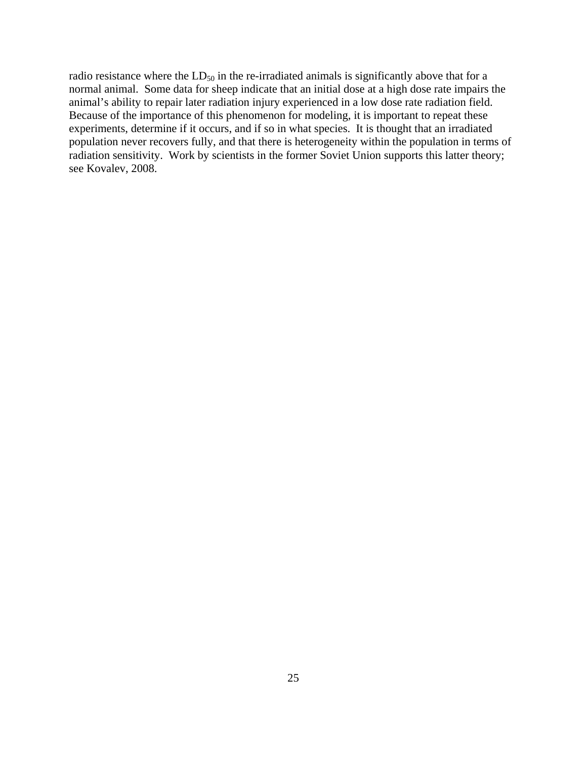radio resistance where the  $LD_{50}$  in the re-irradiated animals is significantly above that for a normal animal. Some data for sheep indicate that an initial dose at a high dose rate impairs the animal's ability to repair later radiation injury experienced in a low dose rate radiation field. Because of the importance of this phenomenon for modeling, it is important to repeat these experiments, determine if it occurs, and if so in what species. It is thought that an irradiated population never recovers fully, and that there is heterogeneity within the population in terms of radiation sensitivity. Work by scientists in the former Soviet Union supports this latter theory; see Kovalev, 2008.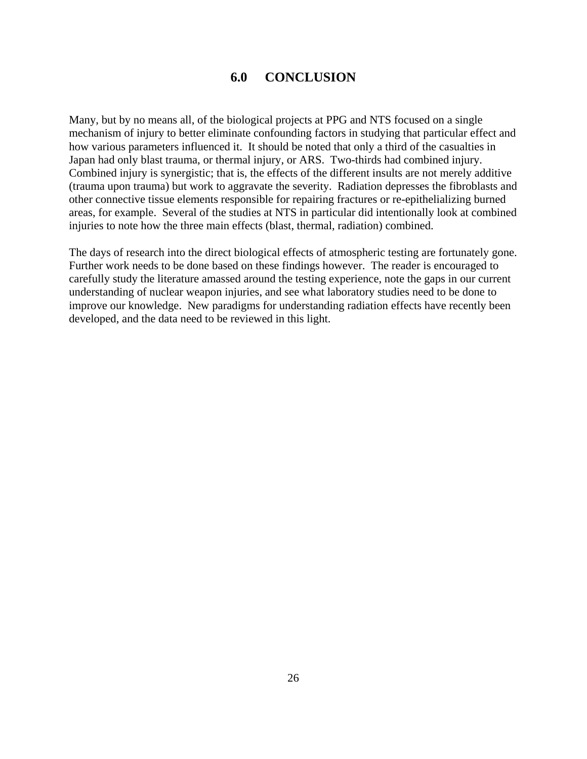## **6.0 CONCLUSION**

Many, but by no means all, of the biological projects at PPG and NTS focused on a single mechanism of injury to better eliminate confounding factors in studying that particular effect and how various parameters influenced it. It should be noted that only a third of the casualties in Japan had only blast trauma, or thermal injury, or ARS. Two-thirds had combined injury. Combined injury is synergistic; that is, the effects of the different insults are not merely additive (trauma upon trauma) but work to aggravate the severity. Radiation depresses the fibroblasts and other connective tissue elements responsible for repairing fractures or re-epithelializing burned areas, for example. Several of the studies at NTS in particular did intentionally look at combined injuries to note how the three main effects (blast, thermal, radiation) combined.

The days of research into the direct biological effects of atmospheric testing are fortunately gone. Further work needs to be done based on these findings however. The reader is encouraged to carefully study the literature amassed around the testing experience, note the gaps in our current understanding of nuclear weapon injuries, and see what laboratory studies need to be done to improve our knowledge. New paradigms for understanding radiation effects have recently been developed, and the data need to be reviewed in this light.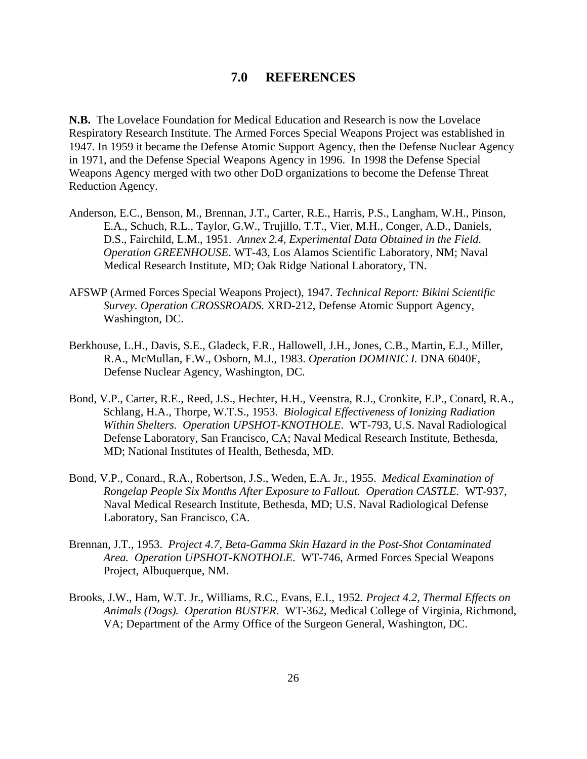#### **7.0 REFERENCES**

**N.B.** The Lovelace Foundation for Medical Education and Research is now the Lovelace Respiratory Research Institute. The Armed Forces Special Weapons Project was established in 1947. In 1959 it became the Defense Atomic Support Agency, then the Defense Nuclear Agency in 1971, and the Defense Special Weapons Agency in 1996. In 1998 the Defense Special Weapons Agency merged with two other DoD organizations to become the Defense Threat Reduction Agency.

- Anderson, E.C., Benson, M., Brennan, J.T., Carter, R.E., Harris, P.S., Langham, W.H., Pinson, E.A., Schuch, R.L., Taylor, G.W., Trujillo, T.T., Vier, M.H., Conger, A.D., Daniels, D.S., Fairchild, L.M., 1951. *Annex 2.4, Experimental Data Obtained in the Field. Operation GREENHOUSE*. WT-43, Los Alamos Scientific Laboratory, NM; Naval Medical Research Institute, MD; Oak Ridge National Laboratory, TN.
- AFSWP (Armed Forces Special Weapons Project), 1947. *Technical Report: Bikini Scientific Survey. Operation CROSSROADS.* XRD-212, Defense Atomic Support Agency, Washington, DC.
- Berkhouse, L.H., Davis, S.E., Gladeck, F.R., Hallowell, J.H., Jones, C.B., Martin, E.J., Miller, R.A., McMullan, F.W., Osborn, M.J., 1983. *Operation DOMINIC I.* DNA 6040F, Defense Nuclear Agency, Washington, DC.
- Bond, V.P., Carter, R.E., Reed, J.S., Hechter, H.H., Veenstra, R.J., Cronkite, E.P., Conard, R.A., Schlang, H.A., Thorpe, W.T.S., 1953. *Biological Effectiveness of Ionizing Radiation Within Shelters. Operation UPSHOT-KNOTHOLE*. WT-793, U.S. Naval Radiological Defense Laboratory, San Francisco, CA; Naval Medical Research Institute, Bethesda, MD; National Institutes of Health, Bethesda, MD.
- Bond, V.P., Conard., R.A., Robertson, J.S., Weden, E.A. Jr., 1955. *Medical Examination of Rongelap People Six Months After Exposure to Fallout. Operation CASTLE.* WT-937, Naval Medical Research Institute, Bethesda, MD; U.S. Naval Radiological Defense Laboratory, San Francisco, CA.
- Brennan, J.T., 1953. *Project 4.7, Beta-Gamma Skin Hazard in the Post-Shot Contaminated Area. Operation UPSHOT-KNOTHOLE*. WT-746, Armed Forces Special Weapons Project, Albuquerque, NM.
- Brooks, J.W., Ham, W.T. Jr., Williams, R.C., Evans, E.I., 1952*. Project 4.2, Thermal Effects on Animals (Dogs). Operation BUSTER*. WT-362, Medical College of Virginia, Richmond, VA; Department of the Army Office of the Surgeon General, Washington, DC.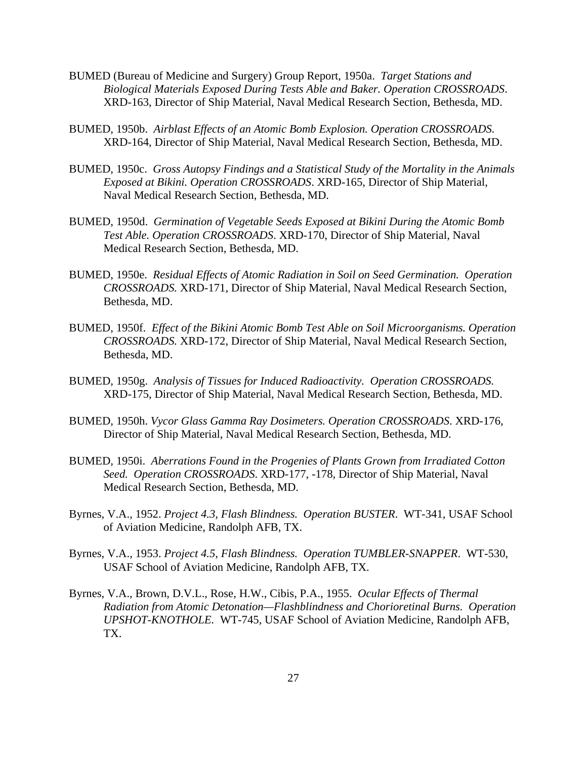- BUMED (Bureau of Medicine and Surgery) Group Report, 1950a. *Target Stations and Biological Materials Exposed During Tests Able and Baker. Operation CROSSROADS*. XRD-163, Director of Ship Material, Naval Medical Research Section, Bethesda, MD.
- BUMED, 1950b. *Airblast Effects of an Atomic Bomb Explosion. Operation CROSSROADS.* XRD-164, Director of Ship Material, Naval Medical Research Section, Bethesda, MD.
- BUMED, 1950c. *Gross Autopsy Findings and a Statistical Study of the Mortality in the Animals Exposed at Bikini. Operation CROSSROADS*. XRD-165, Director of Ship Material, Naval Medical Research Section, Bethesda, MD.
- BUMED, 1950d. *Germination of Vegetable Seeds Exposed at Bikini During the Atomic Bomb Test Able. Operation CROSSROADS*. XRD-170, Director of Ship Material, Naval Medical Research Section, Bethesda, MD.
- BUMED, 1950e. *Residual Effects of Atomic Radiation in Soil on Seed Germination. Operation CROSSROADS.* XRD-171, Director of Ship Material, Naval Medical Research Section, Bethesda, MD.
- BUMED, 1950f. *Effect of the Bikini Atomic Bomb Test Able on Soil Microorganisms. Operation CROSSROADS.* XRD-172, Director of Ship Material, Naval Medical Research Section, Bethesda, MD.
- BUMED, 1950g. *Analysis of Tissues for Induced Radioactivity. Operation CROSSROADS.* XRD-175, Director of Ship Material, Naval Medical Research Section, Bethesda, MD.
- BUMED, 1950h. *Vycor Glass Gamma Ray Dosimeters. Operation CROSSROADS*. XRD-176, Director of Ship Material, Naval Medical Research Section, Bethesda, MD.
- BUMED, 1950i. *Aberrations Found in the Progenies of Plants Grown from Irradiated Cotton Seed. Operation CROSSROADS*. XRD-177, -178, Director of Ship Material, Naval Medical Research Section, Bethesda, MD.
- Byrnes, V.A., 1952. *Project 4.3, Flash Blindness. Operation BUSTER*. WT-341, USAF School of Aviation Medicine, Randolph AFB, TX.
- Byrnes, V.A., 1953. *Project 4.5, Flash Blindness. Operation TUMBLER-SNAPPER*. WT-530, USAF School of Aviation Medicine, Randolph AFB, TX.
- Byrnes, V.A., Brown, D.V.L., Rose, H.W., Cibis, P.A., 1955. *Ocular Effects of Thermal Radiation from Atomic Detonation—Flashblindness and Chorioretinal Burns. Operation UPSHOT-KNOTHOLE.* WT-745, USAF School of Aviation Medicine, Randolph AFB, TX.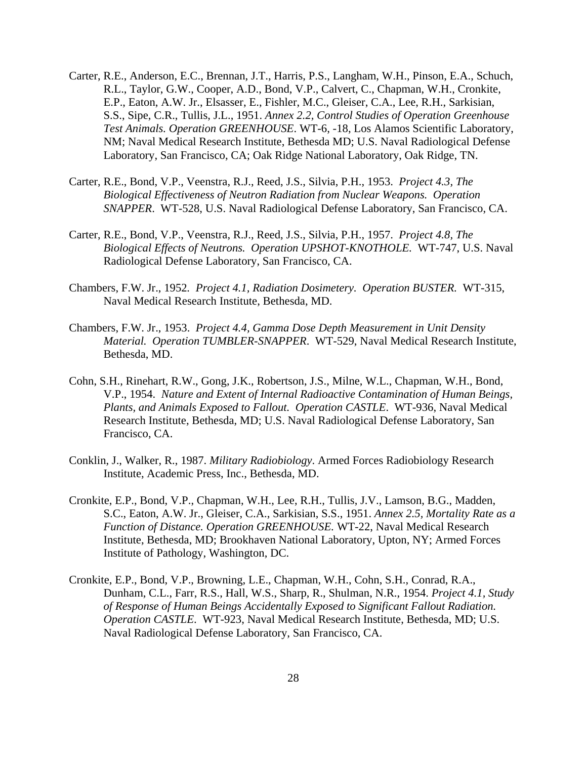- Carter, R.E., Anderson, E.C., Brennan, J.T., Harris, P.S., Langham, W.H., Pinson, E.A., Schuch, R.L., Taylor, G.W., Cooper, A.D., Bond, V.P., Calvert, C., Chapman, W.H., Cronkite, E.P., Eaton, A.W. Jr., Elsasser, E., Fishler, M.C., Gleiser, C.A., Lee, R.H., Sarkisian, S.S., Sipe, C.R., Tullis, J.L., 1951. *Annex 2.2, Control Studies of Operation Greenhouse Test Animals. Operation GREENHOUSE*. WT-6, -18, Los Alamos Scientific Laboratory, NM; Naval Medical Research Institute, Bethesda MD; U.S. Naval Radiological Defense Laboratory, San Francisco, CA; Oak Ridge National Laboratory, Oak Ridge, TN.
- Carter, R.E., Bond, V.P., Veenstra, R.J., Reed, J.S., Silvia, P.H., 1953. *Project 4.3, The Biological Effectiveness of Neutron Radiation from Nuclear Weapons. Operation SNAPPER*. WT-528, U.S. Naval Radiological Defense Laboratory, San Francisco, CA.
- Carter, R.E., Bond, V.P., Veenstra, R.J., Reed, J.S., Silvia, P.H., 1957. *Project 4.8, The Biological Effects of Neutrons. Operation UPSHOT-KNOTHOLE.* WT-747, U.S. Naval Radiological Defense Laboratory, San Francisco, CA.
- Chambers, F.W. Jr., 1952*. Project 4.1, Radiation Dosimetery. Operation BUSTER.* WT-315, Naval Medical Research Institute, Bethesda, MD.
- Chambers, F.W. Jr., 1953. *Project 4.4, Gamma Dose Depth Measurement in Unit Density Material. Operation TUMBLER-SNAPPER*. WT-529, Naval Medical Research Institute, Bethesda, MD.
- Cohn, S.H., Rinehart, R.W., Gong, J.K., Robertson, J.S., Milne, W.L., Chapman, W.H., Bond, V.P., 1954. *Nature and Extent of Internal Radioactive Contamination of Human Beings, Plants, and Animals Exposed to Fallout. Operation CASTLE*. WT-936, Naval Medical Research Institute, Bethesda, MD; U.S. Naval Radiological Defense Laboratory, San Francisco, CA.
- Conklin, J., Walker, R., 1987. *Military Radiobiology*. Armed Forces Radiobiology Research Institute, Academic Press, Inc., Bethesda, MD.
- Cronkite, E.P., Bond, V.P., Chapman, W.H., Lee, R.H., Tullis, J.V., Lamson, B.G., Madden, S.C., Eaton, A.W. Jr., Gleiser, C.A., Sarkisian, S.S., 1951. *Annex 2.5, Mortality Rate as a Function of Distance. Operation GREENHOUSE.* WT-22, Naval Medical Research Institute, Bethesda, MD; Brookhaven National Laboratory, Upton, NY; Armed Forces Institute of Pathology, Washington, DC.
- Cronkite, E.P., Bond, V.P., Browning, L.E., Chapman, W.H., Cohn, S.H., Conrad, R.A., Dunham, C.L., Farr, R.S., Hall, W.S., Sharp, R., Shulman, N.R., 1954. *Project 4.1, Study of Response of Human Beings Accidentally Exposed to Significant Fallout Radiation. Operation CASTLE*. WT-923, Naval Medical Research Institute, Bethesda, MD; U.S. Naval Radiological Defense Laboratory, San Francisco, CA.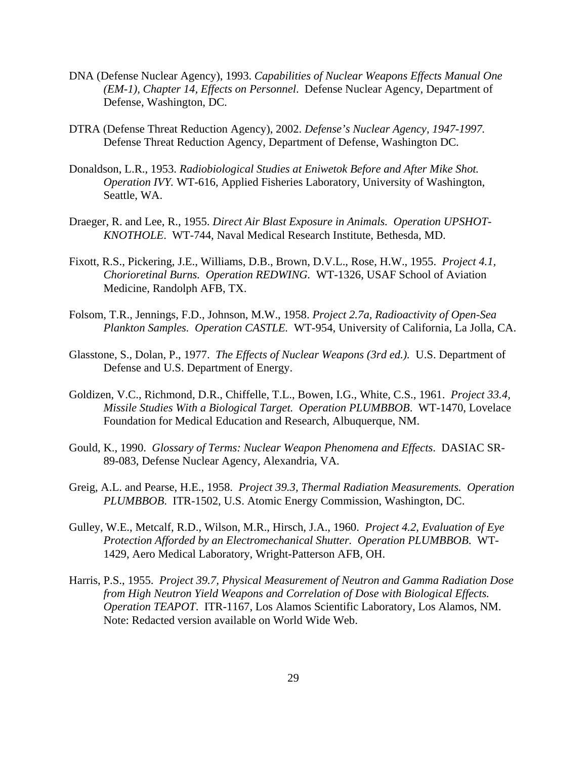- DNA (Defense Nuclear Agency), 1993. *Capabilities of Nuclear Weapons Effects Manual One (EM-1), Chapter 14, Effects on Personnel*. Defense Nuclear Agency, Department of Defense, Washington, DC.
- DTRA (Defense Threat Reduction Agency), 2002. *Defense's Nuclear Agency, 1947-1997.* Defense Threat Reduction Agency, Department of Defense, Washington DC.
- Donaldson, L.R., 1953. *Radiobiological Studies at Eniwetok Before and After Mike Shot. Operation IVY.* WT-616, Applied Fisheries Laboratory, University of Washington, Seattle, WA.
- Draeger, R. and Lee, R., 1955. *Direct Air Blast Exposure in Animals. Operation UPSHOT-KNOTHOLE*. WT-744, Naval Medical Research Institute, Bethesda, MD.
- Fixott, R.S., Pickering, J.E., Williams, D.B., Brown, D.V.L., Rose, H.W., 1955. *Project 4.1, Chorioretinal Burns. Operation REDWING.* WT-1326, USAF School of Aviation Medicine, Randolph AFB, TX.
- Folsom, T.R., Jennings, F.D., Johnson, M.W., 1958. *Project 2.7a, Radioactivity of Open-Sea Plankton Samples. Operation CASTLE.* WT-954, University of California, La Jolla, CA.
- Glasstone, S., Dolan, P., 1977. *The Effects of Nuclear Weapons (3rd ed.).* U.S. Department of Defense and U.S. Department of Energy.
- Goldizen, V.C., Richmond, D.R., Chiffelle, T.L., Bowen, I.G., White, C.S., 1961. *Project 33.4, Missile Studies With a Biological Target. Operation PLUMBBOB*. WT-1470, Lovelace Foundation for Medical Education and Research, Albuquerque, NM.
- Gould, K., 1990. *Glossary of Terms: Nuclear Weapon Phenomena and Effects*. DASIAC SR-89-083, Defense Nuclear Agency, Alexandria, VA.
- Greig, A.L. and Pearse, H.E., 1958. *Project 39.3, Thermal Radiation Measurements. Operation PLUMBBOB*. ITR-1502, U.S. Atomic Energy Commission, Washington, DC.
- Gulley, W.E., Metcalf, R.D., Wilson, M.R., Hirsch, J.A., 1960. *Project 4.2, Evaluation of Eye Protection Afforded by an Electromechanical Shutter. Operation PLUMBBOB*. WT-1429, Aero Medical Laboratory, Wright-Patterson AFB, OH.
- Harris, P.S., 1955. *Project 39.7, Physical Measurement of Neutron and Gamma Radiation Dose from High Neutron Yield Weapons and Correlation of Dose with Biological Effects. Operation TEAPOT*. ITR-1167, Los Alamos Scientific Laboratory, Los Alamos, NM. Note: Redacted version available on World Wide Web.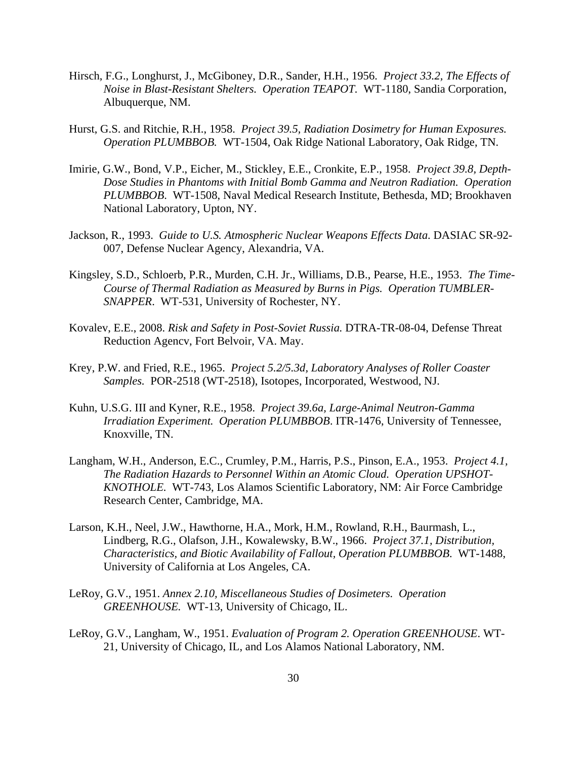- Hirsch, F.G., Longhurst, J., McGiboney, D.R., Sander, H.H., 1956. *Project 33.2, The Effects of Noise in Blast-Resistant Shelters. Operation TEAPOT.* WT-1180, Sandia Corporation, Albuquerque, NM.
- Hurst, G.S. and Ritchie, R.H., 1958. *Project 39.5, Radiation Dosimetry for Human Exposures. Operation PLUMBBOB.* WT-1504, Oak Ridge National Laboratory, Oak Ridge, TN.
- Imirie, G.W., Bond, V.P., Eicher, M., Stickley, E.E., Cronkite, E.P., 1958. *Project 39.8, Depth-Dose Studies in Phantoms with Initial Bomb Gamma and Neutron Radiation. Operation PLUMBBOB*. WT-1508, Naval Medical Research Institute, Bethesda, MD; Brookhaven National Laboratory, Upton, NY.
- Jackson, R., 1993. *Guide to U.S. Atmospheric Nuclear Weapons Effects Data*. DASIAC SR-92- 007, Defense Nuclear Agency, Alexandria, VA.
- Kingsley, S.D., Schloerb, P.R., Murden, C.H. Jr., Williams, D.B., Pearse, H.E., 1953. *The Time-Course of Thermal Radiation as Measured by Burns in Pigs. Operation TUMBLER-SNAPPER*. WT-531, University of Rochester, NY.
- Kovalev, E.E., 2008. *Risk and Safety in Post-Soviet Russia.* DTRA-TR-08-04, Defense Threat Reduction Agencv, Fort Belvoir, VA. May.
- Krey, P.W. and Fried, R.E., 1965. *Project 5.2/5.3d, Laboratory Analyses of Roller Coaster Samples.* POR-2518 (WT-2518), Isotopes, Incorporated, Westwood, NJ.
- Kuhn, U.S.G. III and Kyner, R.E., 1958. *Project 39.6a, Large-Animal Neutron-Gamma Irradiation Experiment. Operation PLUMBBOB*. ITR-1476, University of Tennessee, Knoxville, TN.
- Langham, W.H., Anderson, E.C., Crumley, P.M., Harris, P.S., Pinson, E.A., 1953. *Project 4.1, The Radiation Hazards to Personnel Within an Atomic Cloud. Operation UPSHOT-KNOTHOLE.* WT-743, Los Alamos Scientific Laboratory, NM: Air Force Cambridge Research Center, Cambridge, MA.
- Larson, K.H., Neel, J.W., Hawthorne, H.A., Mork, H.M., Rowland, R.H., Baurmash, L., Lindberg, R.G., Olafson, J.H., Kowalewsky, B.W., 1966. *Project 37.1, Distribution, Characteristics, and Biotic Availability of Fallout, Operation PLUMBBOB*. WT-1488, University of California at Los Angeles, CA.
- LeRoy, G.V., 1951. *Annex 2.10, Miscellaneous Studies of Dosimeters. Operation GREENHOUSE.* WT-13, University of Chicago, IL.
- LeRoy, G.V., Langham, W., 1951. *Evaluation of Program 2. Operation GREENHOUSE*. WT-21, University of Chicago, IL, and Los Alamos National Laboratory, NM.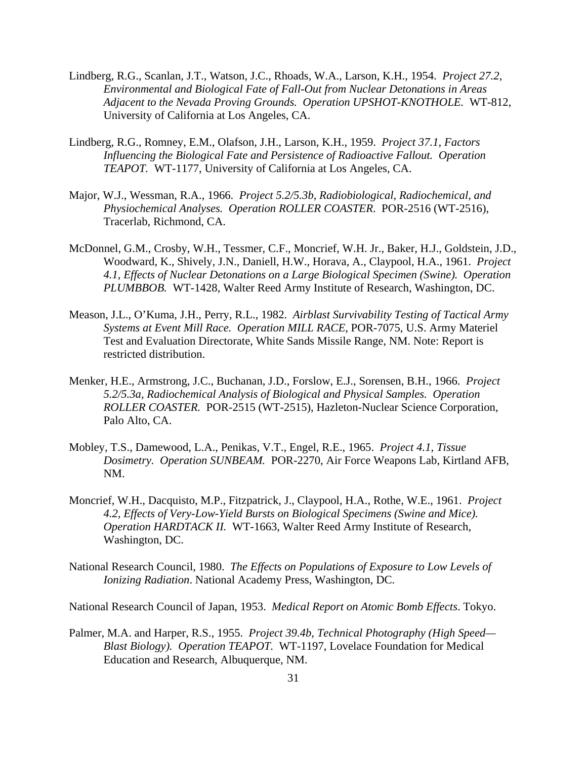- Lindberg, R.G., Scanlan, J.T., Watson, J.C., Rhoads, W.A., Larson, K.H., 1954. *Project 27.2, Environmental and Biological Fate of Fall-Out from Nuclear Detonations in Areas Adjacent to the Nevada Proving Grounds. Operation UPSHOT-KNOTHOLE.* WT-812, University of California at Los Angeles, CA.
- Lindberg, R.G., Romney, E.M., Olafson, J.H., Larson, K.H., 1959. *Project 37.1, Factors Influencing the Biological Fate and Persistence of Radioactive Fallout. Operation TEAPOT.* WT-1177, University of California at Los Angeles, CA.
- Major, W.J., Wessman, R.A., 1966. *Project 5.2/5.3b, Radiobiological, Radiochemical, and Physiochemical Analyses. Operation ROLLER COASTER*. POR-2516 (WT-2516), Tracerlab, Richmond, CA.
- McDonnel, G.M., Crosby, W.H., Tessmer, C.F., Moncrief, W.H. Jr., Baker, H.J., Goldstein, J.D., Woodward, K., Shively, J.N., Daniell, H.W., Horava, A., Claypool, H.A., 1961. *Project 4.1, Effects of Nuclear Detonations on a Large Biological Specimen (Swine). Operation PLUMBBOB.* WT-1428, Walter Reed Army Institute of Research, Washington, DC.
- Meason, J.L., O'Kuma, J.H., Perry, R.L., 1982. *Airblast Survivability Testing of Tactical Army Systems at Event Mill Race. Operation MILL RACE*, POR-7075, U.S. Army Materiel Test and Evaluation Directorate, White Sands Missile Range, NM. Note: Report is restricted distribution.
- Menker, H.E., Armstrong, J.C., Buchanan, J.D., Forslow, E.J., Sorensen, B.H., 1966. *Project 5.2/5.3a, Radiochemical Analysis of Biological and Physical Samples. Operation ROLLER COASTER.* POR-2515 (WT-2515), Hazleton-Nuclear Science Corporation, Palo Alto, CA.
- Mobley, T.S., Damewood, L.A., Penikas, V.T., Engel, R.E., 1965. *Project 4.1, Tissue Dosimetry. Operation SUNBEAM.* POR-2270, Air Force Weapons Lab, Kirtland AFB, NM.
- Moncrief, W.H., Dacquisto, M.P., Fitzpatrick, J., Claypool, H.A., Rothe, W.E., 1961. *Project 4.2, Effects of Very-Low-Yield Bursts on Biological Specimens (Swine and Mice). Operation HARDTACK II.* WT-1663, Walter Reed Army Institute of Research, Washington, DC.
- National Research Council, 1980. *The Effects on Populations of Exposure to Low Levels of Ionizing Radiation*. National Academy Press, Washington, DC.

National Research Council of Japan, 1953. *Medical Report on Atomic Bomb Effects*. Tokyo.

Palmer, M.A. and Harper, R.S., 1955. *Project 39.4b, Technical Photography (High Speed— Blast Biology). Operation TEAPOT.* WT-1197, Lovelace Foundation for Medical Education and Research, Albuquerque, NM.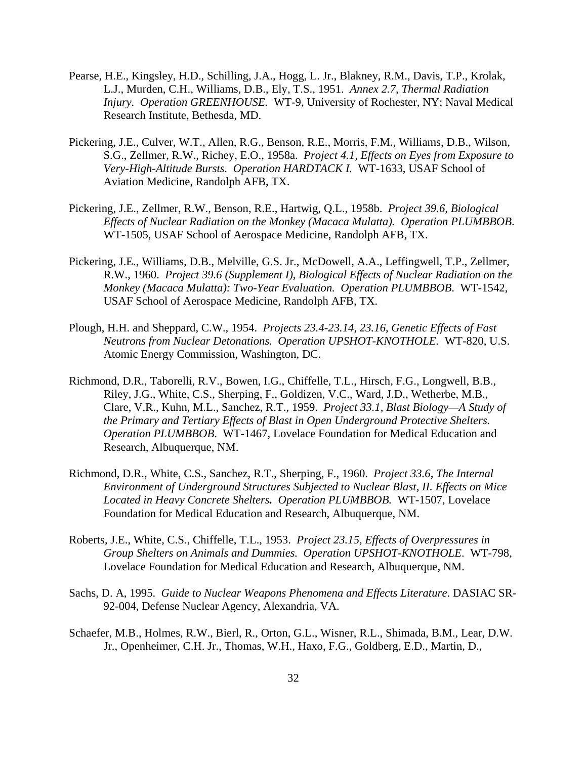- Pearse, H.E., Kingsley, H.D., Schilling, J.A., Hogg, L. Jr., Blakney, R.M., Davis, T.P., Krolak, L.J., Murden, C.H., Williams, D.B., Ely, T.S., 1951. *Annex 2.7, Thermal Radiation Injury. Operation GREENHOUSE.* WT-9, University of Rochester, NY; Naval Medical Research Institute, Bethesda, MD.
- Pickering, J.E., Culver, W.T., Allen, R.G., Benson, R.E., Morris, F.M., Williams, D.B., Wilson, S.G., Zellmer, R.W., Richey, E.O., 1958a. *Project 4.1, Effects on Eyes from Exposure to Very-High-Altitude Bursts. Operation HARDTACK I.* WT-1633, USAF School of Aviation Medicine, Randolph AFB, TX.
- Pickering, J.E., Zellmer, R.W., Benson, R.E., Hartwig, Q.L., 1958b. *Project 39.6, Biological Effects of Nuclear Radiation on the Monkey (Macaca Mulatta). Operation PLUMBBOB*. WT-1505, USAF School of Aerospace Medicine, Randolph AFB, TX.
- Pickering, J.E., Williams, D.B., Melville, G.S. Jr., McDowell, A.A., Leffingwell, T.P., Zellmer, R.W., 1960. *Project 39.6 (Supplement I), Biological Effects of Nuclear Radiation on the Monkey (Macaca Mulatta): Two-Year Evaluation. Operation PLUMBBOB*. WT-1542, USAF School of Aerospace Medicine, Randolph AFB, TX.
- Plough, H.H. and Sheppard, C.W., 1954. *Projects 23.4-23.14, 23.16, Genetic Effects of Fast Neutrons from Nuclear Detonations. Operation UPSHOT-KNOTHOLE.* WT-820, U.S. Atomic Energy Commission, Washington, DC.
- Richmond, D.R., Taborelli, R.V., Bowen, I.G., Chiffelle, T.L., Hirsch, F.G., Longwell, B.B., Riley, J.G., White, C.S., Sherping, F., Goldizen, V.C., Ward, J.D., Wetherbe, M.B., Clare, V.R., Kuhn, M.L., Sanchez, R.T., 1959. *Project 33.1, Blast Biology—A Study of the Primary and Tertiary Effects of Blast in Open Underground Protective Shelters. Operation PLUMBBOB*. WT-1467, Lovelace Foundation for Medical Education and Research, Albuquerque, NM.
- Richmond, D.R., White, C.S., Sanchez, R.T., Sherping, F., 1960. *Project 33.6, The Internal Environment of Underground Structures Subjected to Nuclear Blast, II. Effects on Mice Located in Heavy Concrete Shelters. Operation PLUMBBOB.* WT-1507, Lovelace Foundation for Medical Education and Research, Albuquerque, NM.
- Roberts, J.E., White, C.S., Chiffelle, T.L., 1953. *Project 23.15, Effects of Overpressures in Group Shelters on Animals and Dummies. Operation UPSHOT-KNOTHOLE*. WT-798, Lovelace Foundation for Medical Education and Research, Albuquerque, NM.
- Sachs, D. A, 1995. *Guide to Nuclear Weapons Phenomena and Effects Literature*. DASIAC SR-92-004, Defense Nuclear Agency, Alexandria, VA.
- Schaefer, M.B., Holmes, R.W., Bierl, R., Orton, G.L., Wisner, R.L., Shimada, B.M., Lear, D.W. Jr., Openheimer, C.H. Jr., Thomas, W.H., Haxo, F.G., Goldberg, E.D., Martin, D.,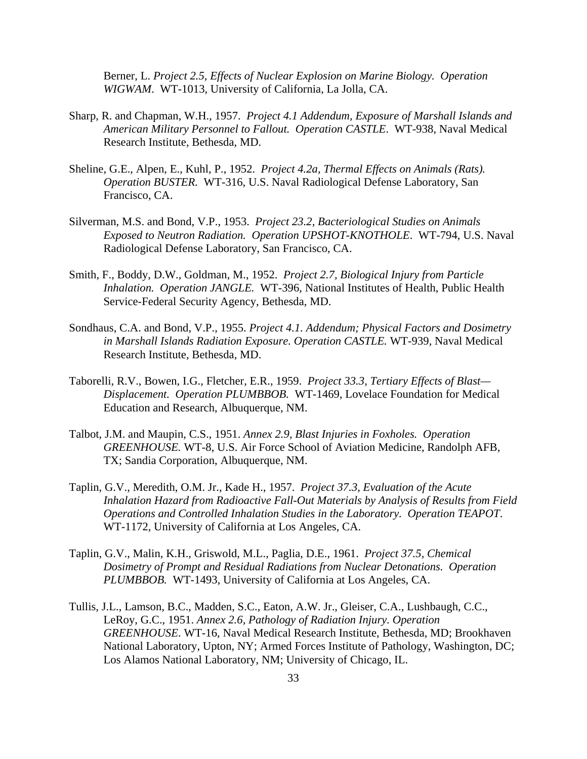Berner, L. *Project 2.5, Effects of Nuclear Explosion on Marine Biology. Operation WIGWAM*. WT-1013, University of California, La Jolla, CA.

- Sharp, R. and Chapman, W.H., 1957. *Project 4.1 Addendum, Exposure of Marshall Islands and American Military Personnel to Fallout. Operation CASTLE*. WT-938, Naval Medical Research Institute, Bethesda, MD.
- Sheline, G.E., Alpen, E., Kuhl, P., 1952. *Project 4.2a, Thermal Effects on Animals (Rats). Operation BUSTER.* WT-316, U.S. Naval Radiological Defense Laboratory, San Francisco, CA.
- Silverman, M.S. and Bond, V.P., 1953. *Project 23.2, Bacteriological Studies on Animals Exposed to Neutron Radiation. Operation UPSHOT-KNOTHOLE*. WT-794, U.S. Naval Radiological Defense Laboratory, San Francisco, CA.
- Smith, F., Boddy, D.W., Goldman, M., 1952. *Project 2.7, Biological Injury from Particle Inhalation. Operation JANGLE.* WT-396, National Institutes of Health, Public Health Service-Federal Security Agency, Bethesda, MD.
- Sondhaus, C.A. and Bond, V.P., 1955. *Project 4.1. Addendum; Physical Factors and Dosimetry in Marshall Islands Radiation Exposure. Operation CASTLE.* WT-939, Naval Medical Research Institute, Bethesda, MD.
- Taborelli, R.V., Bowen, I.G., Fletcher, E.R., 1959. *Project 33.3, Tertiary Effects of Blast— Displacement. Operation PLUMBBOB.* WT-1469, Lovelace Foundation for Medical Education and Research, Albuquerque, NM.
- Talbot, J.M. and Maupin, C.S., 1951. *Annex 2.9, Blast Injuries in Foxholes. Operation GREENHOUSE.* WT-8, U.S. Air Force School of Aviation Medicine, Randolph AFB, TX; Sandia Corporation, Albuquerque, NM.
- Taplin, G.V., Meredith, O.M. Jr., Kade H., 1957. *Project 37.3, Evaluation of the Acute Inhalation Hazard from Radioactive Fall-Out Materials by Analysis of Results from Field Operations and Controlled Inhalation Studies in the Laboratory. Operation TEAPOT*. WT-1172, University of California at Los Angeles, CA.
- Taplin, G.V., Malin, K.H., Griswold, M.L., Paglia, D.E., 1961. *Project 37.5, Chemical Dosimetry of Prompt and Residual Radiations from Nuclear Detonations. Operation PLUMBBOB.* WT-1493, University of California at Los Angeles, CA.
- Tullis, J.L., Lamson, B.C., Madden, S.C., Eaton, A.W. Jr., Gleiser, C.A., Lushbaugh, C.C., LeRoy, G.C., 1951. *Annex 2.6, Pathology of Radiation Injury. Operation GREENHOUSE*. WT-16, Naval Medical Research Institute, Bethesda, MD; Brookhaven National Laboratory, Upton, NY; Armed Forces Institute of Pathology, Washington, DC; Los Alamos National Laboratory, NM; University of Chicago, IL.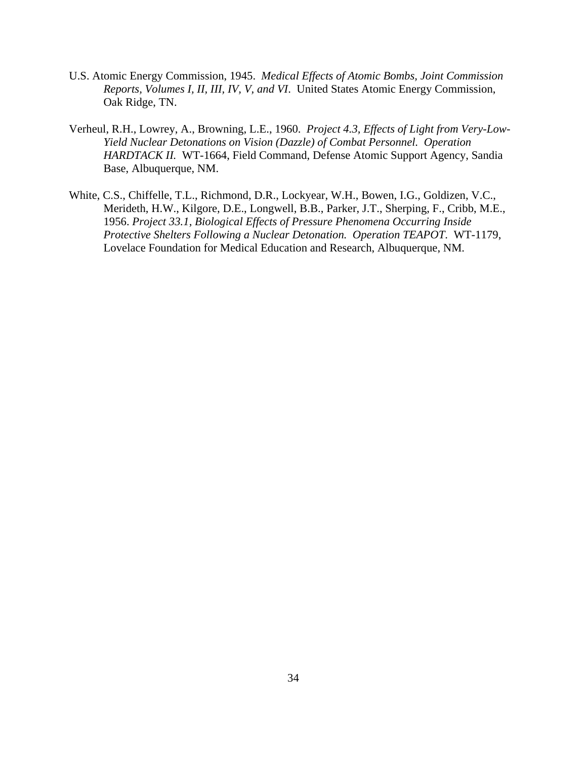- U.S. Atomic Energy Commission, 1945. *Medical Effects of Atomic Bombs, Joint Commission Reports, Volumes I, II, III, IV, V, and VI*. United States Atomic Energy Commission, Oak Ridge, TN.
- Verheul, R.H., Lowrey, A., Browning, L.E., 1960. *Project 4.3, Effects of Light from Very-Low-Yield Nuclear Detonations on Vision (Dazzle) of Combat Personnel. Operation HARDTACK II.* WT-1664, Field Command, Defense Atomic Support Agency, Sandia Base, Albuquerque, NM.
- White, C.S., Chiffelle, T.L., Richmond, D.R., Lockyear, W.H., Bowen, I.G., Goldizen, V.C., Merideth, H.W., Kilgore, D.E., Longwell, B.B., Parker, J.T., Sherping, F., Cribb, M.E., 1956. *Project 33.1, Biological Effects of Pressure Phenomena Occurring Inside Protective Shelters Following a Nuclear Detonation. Operation TEAPOT*. WT-1179, Lovelace Foundation for Medical Education and Research, Albuquerque, NM.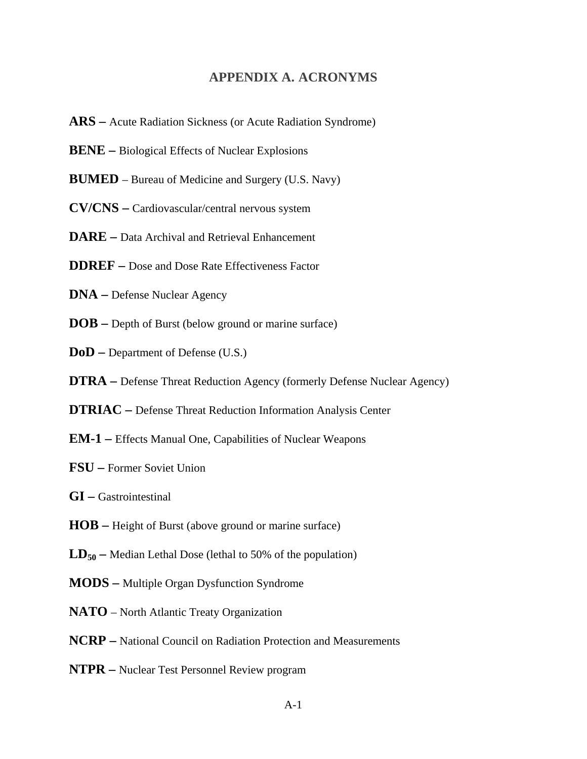#### **APPENDIX A. ACRONYMS**

- **ARS** Acute Radiation Sickness (or Acute Radiation Syndrome)
- **BENE** Biological Effects of Nuclear Explosions
- **BUMED**  Bureau of Medicine and Surgery (U.S. Navy)
- **CV/CNS** Cardiovascular/central nervous system
- **DARE** Data Archival and Retrieval Enhancement
- **DDREF** Dose and Dose Rate Effectiveness Factor
- **DNA** Defense Nuclear Agency
- **DOB** Depth of Burst (below ground or marine surface)
- **DoD** Department of Defense (U.S.)
- **DTRA** Defense Threat Reduction Agency (formerly Defense Nuclear Agency)
- **DTRIAC** Defense Threat Reduction Information Analysis Center
- **EM-1** Effects Manual One, Capabilities of Nuclear Weapons
- **FSU** Former Soviet Union
- **GI** Gastrointestinal
- **HOB** Height of Burst (above ground or marine surface)
- $LD_{50}$  Median Lethal Dose (lethal to 50% of the population)
- **MODS** Multiple Organ Dysfunction Syndrome
- **NATO**  North Atlantic Treaty Organization
- **NCRP** National Council on Radiation Protection and Measurements
- **NTPR** Nuclear Test Personnel Review program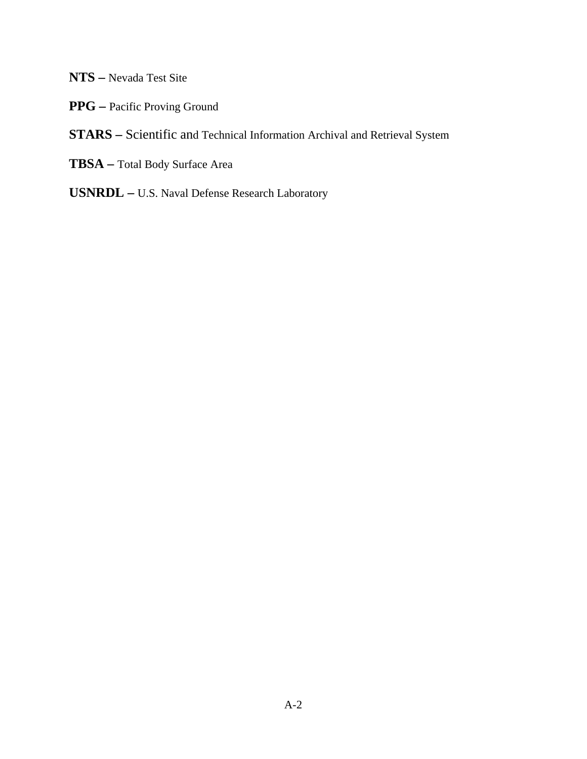- **NTS** Nevada Test Site
- **PPG** Pacific Proving Ground

# **STARS –** Scientific and Technical Information Archival and Retrieval System

- **TBSA** Total Body Surface Area
- **USNRDL** U.S. Naval Defense Research Laboratory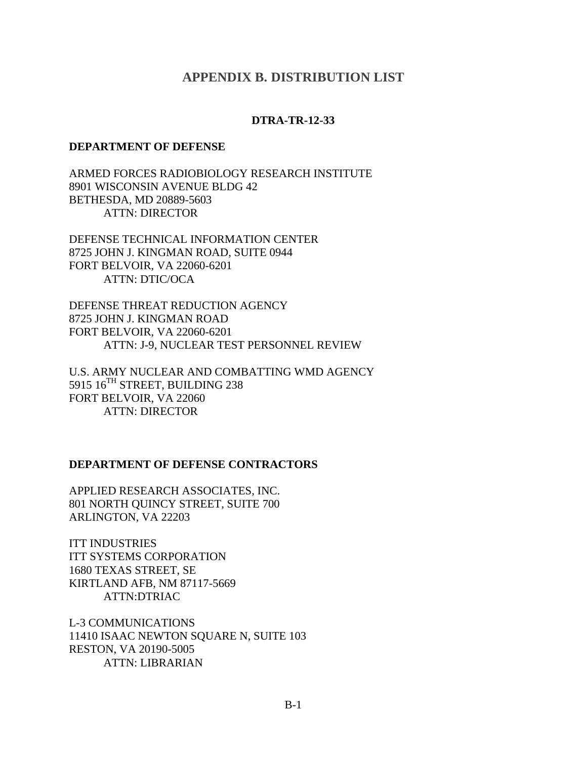#### **APPENDIX B. DISTRIBUTION LIST**

#### **DTRA-TR-12-33**

#### **DEPARTMENT OF DEFENSE**

ARMED FORCES RADIOBIOLOGY RESEARCH INSTITUTE 8901 WISCONSIN AVENUE BLDG 42 BETHESDA, MD 20889-5603 ATTN: DIRECTOR

DEFENSE TECHNICAL INFORMATION CENTER 8725 JOHN J. KINGMAN ROAD, SUITE 0944 FORT BELVOIR, VA 22060-6201 ATTN: DTIC/OCA

DEFENSE THREAT REDUCTION AGENCY 8725 JOHN J. KINGMAN ROAD FORT BELVOIR, VA 22060-6201 ATTN: J-9, NUCLEAR TEST PERSONNEL REVIEW

U.S. ARMY NUCLEAR AND COMBATTING WMD AGENCY 5915 16<sup>TH</sup> STREET, BUILDING 238 FORT BELVOIR, VA 22060 ATTN: DIRECTOR

#### **DEPARTMENT OF DEFENSE CONTRACTORS**

APPLIED RESEARCH ASSOCIATES, INC. 801 NORTH QUINCY STREET, SUITE 700 ARLINGTON, VA 22203

ITT INDUSTRIES ITT SYSTEMS CORPORATION 1680 TEXAS STREET, SE KIRTLAND AFB, NM 87117-5669 ATTN:DTRIAC

L-3 COMMUNICATIONS 11410 ISAAC NEWTON SQUARE N, SUITE 103 RESTON, VA 20190-5005 ATTN: LIBRARIAN